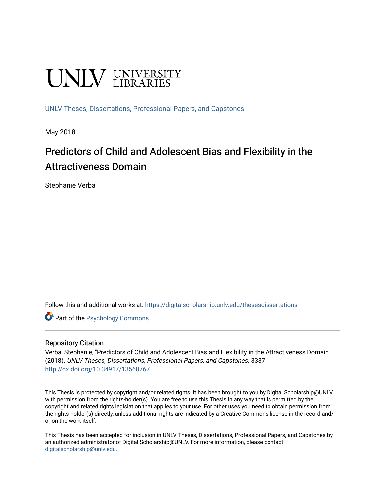# **UNIVERSITY**

[UNLV Theses, Dissertations, Professional Papers, and Capstones](https://digitalscholarship.unlv.edu/thesesdissertations)

May 2018

# Predictors of Child and Adolescent Bias and Flexibility in the Attractiveness Domain

Stephanie Verba

Follow this and additional works at: [https://digitalscholarship.unlv.edu/thesesdissertations](https://digitalscholarship.unlv.edu/thesesdissertations?utm_source=digitalscholarship.unlv.edu%2Fthesesdissertations%2F3337&utm_medium=PDF&utm_campaign=PDFCoverPages)

Part of the [Psychology Commons](http://network.bepress.com/hgg/discipline/404?utm_source=digitalscholarship.unlv.edu%2Fthesesdissertations%2F3337&utm_medium=PDF&utm_campaign=PDFCoverPages) 

#### Repository Citation

Verba, Stephanie, "Predictors of Child and Adolescent Bias and Flexibility in the Attractiveness Domain" (2018). UNLV Theses, Dissertations, Professional Papers, and Capstones. 3337. <http://dx.doi.org/10.34917/13568767>

This Thesis is protected by copyright and/or related rights. It has been brought to you by Digital Scholarship@UNLV with permission from the rights-holder(s). You are free to use this Thesis in any way that is permitted by the copyright and related rights legislation that applies to your use. For other uses you need to obtain permission from the rights-holder(s) directly, unless additional rights are indicated by a Creative Commons license in the record and/ or on the work itself.

This Thesis has been accepted for inclusion in UNLV Theses, Dissertations, Professional Papers, and Capstones by an authorized administrator of Digital Scholarship@UNLV. For more information, please contact [digitalscholarship@unlv.edu](mailto:digitalscholarship@unlv.edu).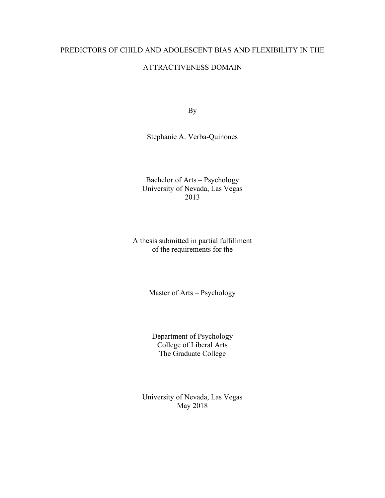## PREDICTORS OF CHILD AND ADOLESCENT BIAS AND FLEXIBILITY IN THE

#### ATTRACTIVENESS DOMAIN

By

Stephanie A. Verba-Quinones

Bachelor of Arts – Psychology University of Nevada, Las Vegas 2013

A thesis submitted in partial fulfillment of the requirements for the

Master of Arts – Psychology

Department of Psychology College of Liberal Arts The Graduate College

University of Nevada, Las Vegas May 2018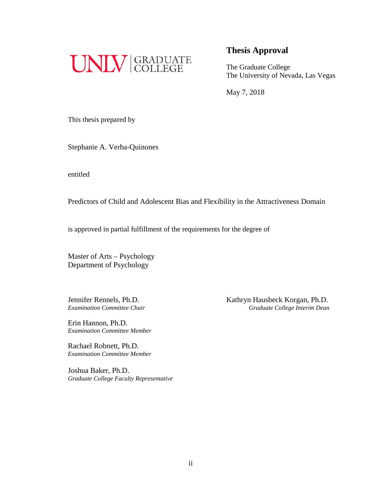

# **Thesis Approval**

The Graduate College The University of Nevada, Las Vegas

May 7, 2018

This thesis prepared by

Stephanie A. Verba-Quinones

entitled

Predictors of Child and Adolescent Bias and Flexibility in the Attractiveness Domain

is approved in partial fulfillment of the requirements for the degree of

Master of Arts – Psychology Department of Psychology

Erin Hannon, Ph.D. *Examination Committee Member*

Rachael Robnett, Ph.D. *Examination Committee Member*

Joshua Baker, Ph.D. *Graduate College Faculty Representative*

Jennifer Rennels, Ph.D. Kathryn Hausbeck Korgan, Ph.D. *Examination Committee Chair Graduate College Interim Dean*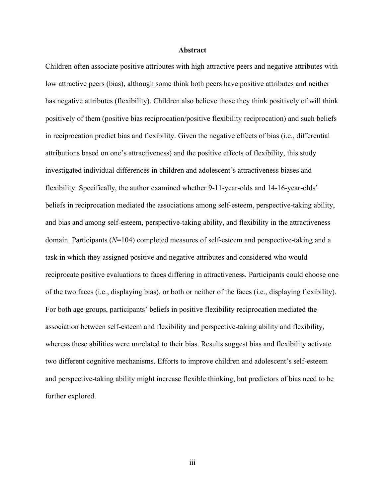#### **Abstract**

Children often associate positive attributes with high attractive peers and negative attributes with low attractive peers (bias), although some think both peers have positive attributes and neither has negative attributes (flexibility). Children also believe those they think positively of will think positively of them (positive bias reciprocation/positive flexibility reciprocation) and such beliefs in reciprocation predict bias and flexibility. Given the negative effects of bias (i.e., differential attributions based on one's attractiveness) and the positive effects of flexibility, this study investigated individual differences in children and adolescent's attractiveness biases and flexibility. Specifically, the author examined whether 9-11-year-olds and 14-16-year-olds' beliefs in reciprocation mediated the associations among self-esteem, perspective-taking ability, and bias and among self-esteem, perspective-taking ability, and flexibility in the attractiveness domain. Participants (*N*=104) completed measures of self-esteem and perspective-taking and a task in which they assigned positive and negative attributes and considered who would reciprocate positive evaluations to faces differing in attractiveness. Participants could choose one of the two faces (i.e., displaying bias), or both or neither of the faces (i.e., displaying flexibility). For both age groups, participants' beliefs in positive flexibility reciprocation mediated the association between self-esteem and flexibility and perspective-taking ability and flexibility, whereas these abilities were unrelated to their bias. Results suggest bias and flexibility activate two different cognitive mechanisms. Efforts to improve children and adolescent's self-esteem and perspective-taking ability might increase flexible thinking, but predictors of bias need to be further explored.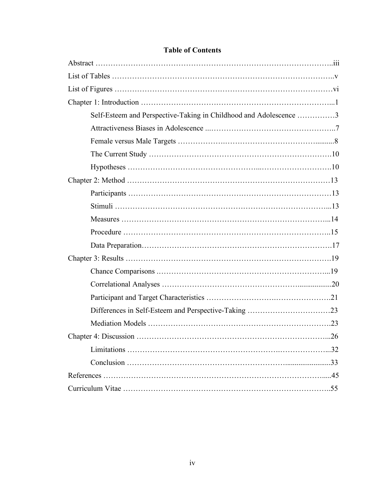| Self-Esteem and Perspective-Taking in Childhood and Adolescence 3 |  |
|-------------------------------------------------------------------|--|
|                                                                   |  |
|                                                                   |  |
|                                                                   |  |
|                                                                   |  |
|                                                                   |  |
|                                                                   |  |
|                                                                   |  |
|                                                                   |  |
|                                                                   |  |
|                                                                   |  |
|                                                                   |  |
|                                                                   |  |
|                                                                   |  |
|                                                                   |  |
|                                                                   |  |
|                                                                   |  |
|                                                                   |  |
|                                                                   |  |
|                                                                   |  |
|                                                                   |  |
|                                                                   |  |

# **Table of Contents**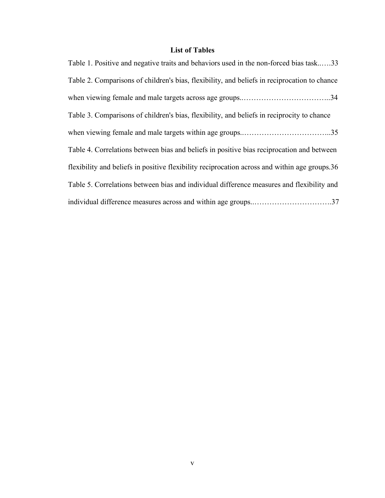# **List of Tables**

| Table 1. Positive and negative traits and behaviors used in the non-forced bias task33        |
|-----------------------------------------------------------------------------------------------|
| Table 2. Comparisons of children's bias, flexibility, and beliefs in reciprocation to chance  |
|                                                                                               |
| Table 3. Comparisons of children's bias, flexibility, and beliefs in reciprocity to chance    |
|                                                                                               |
| Table 4. Correlations between bias and beliefs in positive bias reciprocation and between     |
| flexibility and beliefs in positive flexibility reciprocation across and within age groups.36 |
| Table 5. Correlations between bias and individual difference measures and flexibility and     |
| individual difference measures across and within age groups37                                 |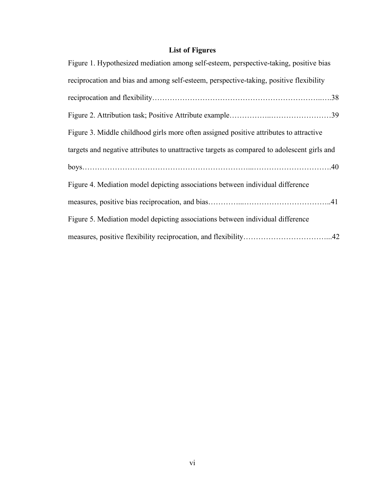# **List of Figures**

| Figure 1. Hypothesized mediation among self-esteem, perspective-taking, positive bias       |
|---------------------------------------------------------------------------------------------|
| reciprocation and bias and among self-esteem, perspective-taking, positive flexibility      |
|                                                                                             |
|                                                                                             |
| Figure 3. Middle childhood girls more often assigned positive attributes to attractive      |
| targets and negative attributes to unattractive targets as compared to adolescent girls and |
|                                                                                             |
| Figure 4. Mediation model depicting associations between individual difference              |
|                                                                                             |
| Figure 5. Mediation model depicting associations between individual difference              |
|                                                                                             |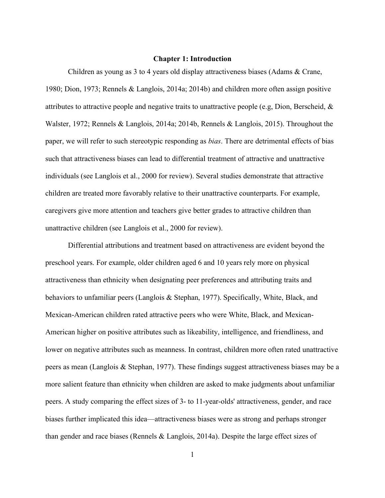#### **Chapter 1: Introduction**

Children as young as 3 to 4 years old display attractiveness biases (Adams & Crane, 1980; Dion, 1973; Rennels & Langlois, 2014a; 2014b) and children more often assign positive attributes to attractive people and negative traits to unattractive people (e.g, Dion, Berscheid, & Walster, 1972; Rennels & Langlois, 2014a; 2014b, Rennels & Langlois, 2015). Throughout the paper, we will refer to such stereotypic responding as *bias*. There are detrimental effects of bias such that attractiveness biases can lead to differential treatment of attractive and unattractive individuals (see Langlois et al., 2000 for review). Several studies demonstrate that attractive children are treated more favorably relative to their unattractive counterparts. For example, caregivers give more attention and teachers give better grades to attractive children than unattractive children (see Langlois et al., 2000 for review).

Differential attributions and treatment based on attractiveness are evident beyond the preschool years. For example, older children aged 6 and 10 years rely more on physical attractiveness than ethnicity when designating peer preferences and attributing traits and behaviors to unfamiliar peers (Langlois & Stephan, 1977). Specifically, White, Black, and Mexican-American children rated attractive peers who were White, Black, and Mexican-American higher on positive attributes such as likeability, intelligence, and friendliness, and lower on negative attributes such as meanness. In contrast, children more often rated unattractive peers as mean (Langlois & Stephan, 1977). These findings suggest attractiveness biases may be a more salient feature than ethnicity when children are asked to make judgments about unfamiliar peers. A study comparing the effect sizes of 3- to 11-year-olds' attractiveness, gender, and race biases further implicated this idea—attractiveness biases were as strong and perhaps stronger than gender and race biases (Rennels & Langlois, 2014a). Despite the large effect sizes of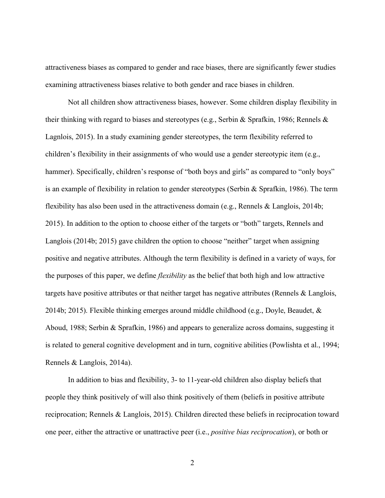attractiveness biases as compared to gender and race biases, there are significantly fewer studies examining attractiveness biases relative to both gender and race biases in children.

Not all children show attractiveness biases, however. Some children display flexibility in their thinking with regard to biases and stereotypes (e.g., Serbin & Sprafkin, 1986; Rennels & Lagnlois, 2015). In a study examining gender stereotypes, the term flexibility referred to children's flexibility in their assignments of who would use a gender stereotypic item (e.g., hammer). Specifically, children's response of "both boys and girls" as compared to "only boys" is an example of flexibility in relation to gender stereotypes (Serbin & Sprafkin, 1986). The term flexibility has also been used in the attractiveness domain (e.g., Rennels & Langlois, 2014b; 2015). In addition to the option to choose either of the targets or "both" targets, Rennels and Langlois (2014b; 2015) gave children the option to choose "neither" target when assigning positive and negative attributes. Although the term flexibility is defined in a variety of ways, for the purposes of this paper, we define *flexibility* as the belief that both high and low attractive targets have positive attributes or that neither target has negative attributes (Rennels  $\&$  Langlois, 2014b; 2015). Flexible thinking emerges around middle childhood (e.g., Doyle, Beaudet,  $\&$ Aboud, 1988; Serbin & Sprafkin, 1986) and appears to generalize across domains, suggesting it is related to general cognitive development and in turn, cognitive abilities (Powlishta et al., 1994; Rennels & Langlois, 2014a).

In addition to bias and flexibility, 3- to 11-year-old children also display beliefs that people they think positively of will also think positively of them (beliefs in positive attribute reciprocation; Rennels & Langlois, 2015). Children directed these beliefs in reciprocation toward one peer, either the attractive or unattractive peer (i.e., *positive bias reciprocation*), or both or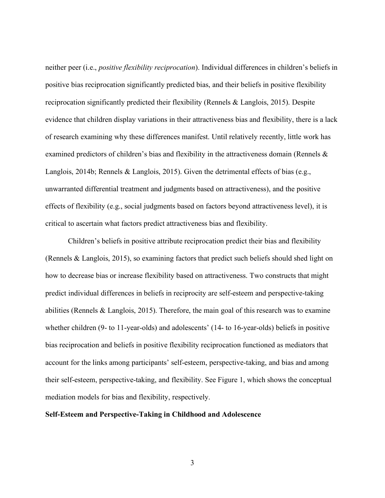neither peer (i.e., *positive flexibility reciprocation*). Individual differences in children's beliefs in positive bias reciprocation significantly predicted bias, and their beliefs in positive flexibility reciprocation significantly predicted their flexibility (Rennels & Langlois, 2015). Despite evidence that children display variations in their attractiveness bias and flexibility, there is a lack of research examining why these differences manifest. Until relatively recently, little work has examined predictors of children's bias and flexibility in the attractiveness domain (Rennels & Langlois, 2014b; Rennels & Langlois, 2015). Given the detrimental effects of bias (e.g., unwarranted differential treatment and judgments based on attractiveness), and the positive effects of flexibility (e.g., social judgments based on factors beyond attractiveness level), it is critical to ascertain what factors predict attractiveness bias and flexibility.

Children's beliefs in positive attribute reciprocation predict their bias and flexibility (Rennels & Langlois, 2015), so examining factors that predict such beliefs should shed light on how to decrease bias or increase flexibility based on attractiveness. Two constructs that might predict individual differences in beliefs in reciprocity are self-esteem and perspective-taking abilities (Rennels  $&$  Langlois, 2015). Therefore, the main goal of this research was to examine whether children (9- to 11-year-olds) and adolescents' (14- to 16-year-olds) beliefs in positive bias reciprocation and beliefs in positive flexibility reciprocation functioned as mediators that account for the links among participants' self-esteem, perspective-taking, and bias and among their self-esteem, perspective-taking, and flexibility. See Figure 1, which shows the conceptual mediation models for bias and flexibility, respectively.

#### **Self-Esteem and Perspective-Taking in Childhood and Adolescence**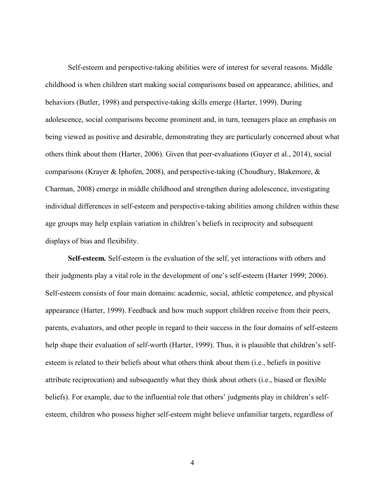Self-esteem and perspective-taking abilities were of interest for several reasons. Middle childhood is when children start making social comparisons based on appearance, abilities, and behaviors (Butler, 1998) and perspective-taking skills emerge (Harter, 1999). During adolescence, social comparisons become prominent and, in turn, teenagers place an emphasis on being viewed as positive and desirable, demonstrating they are particularly concerned about what others think about them (Harter, 2006). Given that peer-evaluations (Guyer et al., 2014), social comparisons (Krayer & Iphofen, 2008), and perspective-taking (Choudhury, Blakemore, & Charman, 2008) emerge in middle childhood and strengthen during adolescence, investigating individual differences in self-esteem and perspective-taking abilities among children within these age groups may help explain variation in children's beliefs in reciprocity and subsequent displays of bias and flexibility.

**Self-esteem***.* Self-esteem is the evaluation of the self, yet interactions with others and their judgments play a vital role in the development of one's self-esteem (Harter 1999; 2006). Self-esteem consists of four main domains: academic, social, athletic competence, and physical appearance (Harter, 1999). Feedback and how much support children receive from their peers, parents, evaluators, and other people in regard to their success in the four domains of self-esteem help shape their evaluation of self-worth (Harter, 1999). Thus, it is plausible that children's selfesteem is related to their beliefs about what others think about them (i.e., beliefs in positive attribute reciprocation) and subsequently what they think about others (i.e., biased or flexible beliefs). For example, due to the influential role that others' judgments play in children's selfesteem, children who possess higher self-esteem might believe unfamiliar targets, regardless of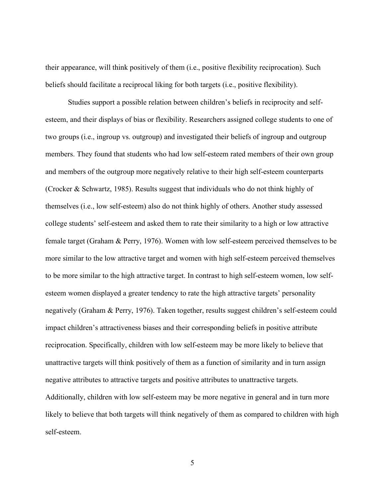their appearance, will think positively of them (i.e., positive flexibility reciprocation). Such beliefs should facilitate a reciprocal liking for both targets (i.e., positive flexibility).

Studies support a possible relation between children's beliefs in reciprocity and selfesteem, and their displays of bias or flexibility. Researchers assigned college students to one of two groups (i.e., ingroup vs. outgroup) and investigated their beliefs of ingroup and outgroup members. They found that students who had low self-esteem rated members of their own group and members of the outgroup more negatively relative to their high self-esteem counterparts (Crocker & Schwartz, 1985). Results suggest that individuals who do not think highly of themselves (i.e., low self-esteem) also do not think highly of others. Another study assessed college students' self-esteem and asked them to rate their similarity to a high or low attractive female target (Graham & Perry, 1976). Women with low self-esteem perceived themselves to be more similar to the low attractive target and women with high self-esteem perceived themselves to be more similar to the high attractive target. In contrast to high self-esteem women, low selfesteem women displayed a greater tendency to rate the high attractive targets' personality negatively (Graham & Perry, 1976). Taken together, results suggest children's self-esteem could impact children's attractiveness biases and their corresponding beliefs in positive attribute reciprocation. Specifically, children with low self-esteem may be more likely to believe that unattractive targets will think positively of them as a function of similarity and in turn assign negative attributes to attractive targets and positive attributes to unattractive targets. Additionally, children with low self-esteem may be more negative in general and in turn more likely to believe that both targets will think negatively of them as compared to children with high self-esteem.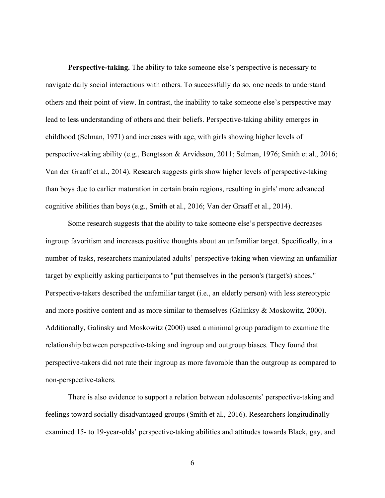**Perspective-taking.** The ability to take someone else's perspective is necessary to navigate daily social interactions with others. To successfully do so, one needs to understand others and their point of view. In contrast, the inability to take someone else's perspective may lead to less understanding of others and their beliefs. Perspective-taking ability emerges in childhood (Selman, 1971) and increases with age, with girls showing higher levels of perspective-taking ability (e.g., Bengtsson & Arvidsson, 2011; Selman, 1976; Smith et al., 2016; Van der Graaff et al., 2014). Research suggests girls show higher levels of perspective-taking than boys due to earlier maturation in certain brain regions, resulting in girls' more advanced cognitive abilities than boys (e.g., Smith et al., 2016; Van der Graaff et al., 2014).

Some research suggests that the ability to take someone else's perspective decreases ingroup favoritism and increases positive thoughts about an unfamiliar target. Specifically, in a number of tasks, researchers manipulated adults' perspective-taking when viewing an unfamiliar target by explicitly asking participants to "put themselves in the person's (target's) shoes." Perspective-takers described the unfamiliar target (i.e., an elderly person) with less stereotypic and more positive content and as more similar to themselves (Galinksy & Moskowitz, 2000). Additionally, Galinsky and Moskowitz (2000) used a minimal group paradigm to examine the relationship between perspective-taking and ingroup and outgroup biases. They found that perspective-takers did not rate their ingroup as more favorable than the outgroup as compared to non-perspective-takers.

There is also evidence to support a relation between adolescents' perspective-taking and feelings toward socially disadvantaged groups (Smith et al., 2016). Researchers longitudinally examined 15- to 19-year-olds' perspective-taking abilities and attitudes towards Black, gay, and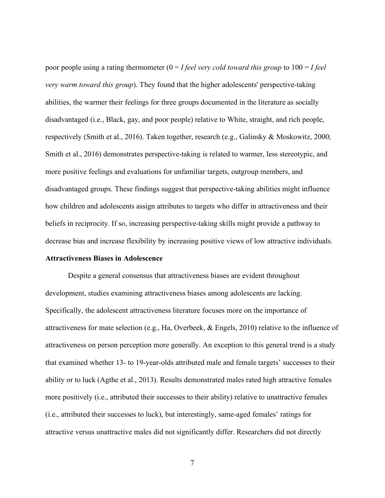poor people using a rating thermometer (0 = *I feel very cold toward this group* to 100 = *I feel very warm toward this group*). They found that the higher adolescents' perspective-taking abilities, the warmer their feelings for three groups documented in the literature as socially disadvantaged (i.e., Black, gay, and poor people) relative to White, straight, and rich people, respectively (Smith et al., 2016). Taken together, research (e.g., Galinsky & Moskowitz, 2000; Smith et al., 2016) demonstrates perspective-taking is related to warmer, less stereotypic, and more positive feelings and evaluations for unfamiliar targets, outgroup members, and disadvantaged groups. These findings suggest that perspective-taking abilities might influence how children and adolescents assign attributes to targets who differ in attractiveness and their beliefs in reciprocity. If so, increasing perspective-taking skills might provide a pathway to decrease bias and increase flexibility by increasing positive views of low attractive individuals.

#### **Attractiveness Biases in Adolescence**

Despite a general consensus that attractiveness biases are evident throughout development, studies examining attractiveness biases among adolescents are lacking. Specifically, the adolescent attractiveness literature focuses more on the importance of attractiveness for mate selection (e.g., Ha, Overbeek,  $\&$  Engels, 2010) relative to the influence of attractiveness on person perception more generally. An exception to this general trend is a study that examined whether 13- to 19-year-olds attributed male and female targets' successes to their ability or to luck (Agthe et al., 2013). Results demonstrated males rated high attractive females more positively (i.e., attributed their successes to their ability) relative to unattractive females (i.e., attributed their successes to luck), but interestingly, same-aged females' ratings for attractive versus unattractive males did not significantly differ. Researchers did not directly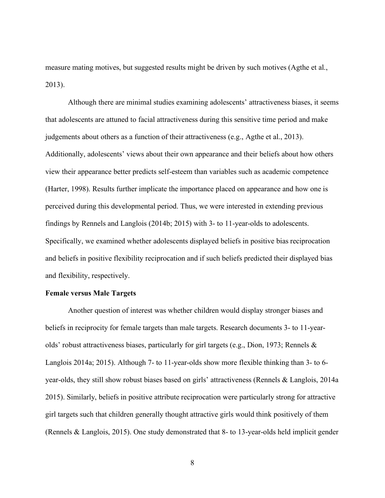measure mating motives, but suggested results might be driven by such motives (Agthe et al., 2013).

Although there are minimal studies examining adolescents' attractiveness biases, it seems that adolescents are attuned to facial attractiveness during this sensitive time period and make judgements about others as a function of their attractiveness (e.g., Agthe et al., 2013). Additionally, adolescents' views about their own appearance and their beliefs about how others view their appearance better predicts self-esteem than variables such as academic competence (Harter, 1998). Results further implicate the importance placed on appearance and how one is perceived during this developmental period. Thus, we were interested in extending previous findings by Rennels and Langlois (2014b; 2015) with 3- to 11-year-olds to adolescents. Specifically, we examined whether adolescents displayed beliefs in positive bias reciprocation and beliefs in positive flexibility reciprocation and if such beliefs predicted their displayed bias and flexibility, respectively.

#### **Female versus Male Targets**

Another question of interest was whether children would display stronger biases and beliefs in reciprocity for female targets than male targets. Research documents 3- to 11-yearolds' robust attractiveness biases, particularly for girl targets (e.g., Dion, 1973; Rennels  $\&$ Langlois 2014a; 2015). Although 7- to 11-year-olds show more flexible thinking than 3- to 6 year-olds, they still show robust biases based on girls' attractiveness (Rennels & Langlois, 2014a 2015). Similarly, beliefs in positive attribute reciprocation were particularly strong for attractive girl targets such that children generally thought attractive girls would think positively of them (Rennels & Langlois, 2015). One study demonstrated that 8- to 13-year-olds held implicit gender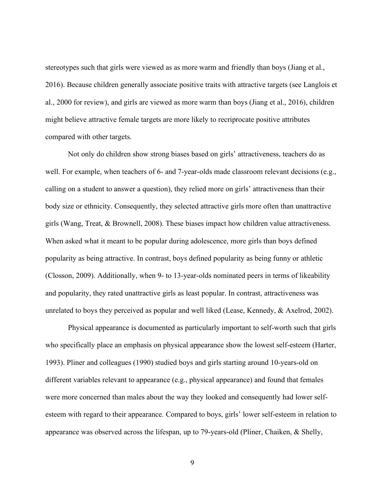stereotypes such that girls were viewed as as more warm and friendly than boys (Jiang et al., 2016). Because children generally associate positive traits with attractive targets (see Langlois et al., 2000 for review), and girls are viewed as more warm than boys (Jiang et al., 2016), children might believe attractive female targets are more likely to recriprocate positive attributes compared with other targets.

Not only do children show strong biases based on girls' attractiveness, teachers do as well. For example, when teachers of 6- and 7-year-olds made classroom relevant decisions (e.g., calling on a student to answer a question), they relied more on girls' attractiveness than their body size or ethnicity. Consequently, they selected attractive girls more often than unattractive girls (Wang, Treat, & Brownell, 2008). These biases impact how children value attractiveness. When asked what it meant to be popular during adolescence, more girls than boys defined popularity as being attractive. In contrast, boys defined popularity as being funny or athletic (Closson, 2009). Additionally, when 9- to 13-year-olds nominated peers in terms of likeability and popularity, they rated unattractive girls as least popular. In contrast, attractiveness was unrelated to boys they perceived as popular and well liked (Lease, Kennedy, & Axelrod, 2002).

Physical appearance is documented as particularly important to self-worth such that girls who specifically place an emphasis on physical appearance show the lowest self-esteem (Harter, 1993). Pliner and colleagues (1990) studied boys and girls starting around 10-years-old on different variables relevant to appearance (e.g., physical appearance) and found that females were more concerned than males about the way they looked and consequently had lower selfesteem with regard to their appearance. Compared to boys, girls' lower self-esteem in relation to appearance was observed across the lifespan, up to 79-years-old (Pliner, Chaiken, & Shelly,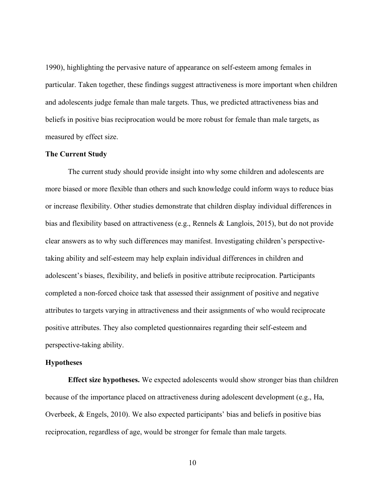1990), highlighting the pervasive nature of appearance on self-esteem among females in particular. Taken together, these findings suggest attractiveness is more important when children and adolescents judge female than male targets. Thus, we predicted attractiveness bias and beliefs in positive bias reciprocation would be more robust for female than male targets, as measured by effect size.

#### **The Current Study**

The current study should provide insight into why some children and adolescents are more biased or more flexible than others and such knowledge could inform ways to reduce bias or increase flexibility. Other studies demonstrate that children display individual differences in bias and flexibility based on attractiveness (e.g., Rennels & Langlois, 2015), but do not provide clear answers as to why such differences may manifest. Investigating children's perspectivetaking ability and self-esteem may help explain individual differences in children and adolescent's biases, flexibility, and beliefs in positive attribute reciprocation. Participants completed a non-forced choice task that assessed their assignment of positive and negative attributes to targets varying in attractiveness and their assignments of who would reciprocate positive attributes. They also completed questionnaires regarding their self-esteem and perspective-taking ability.

#### **Hypotheses**

**Effect size hypotheses.** We expected adolescents would show stronger bias than children because of the importance placed on attractiveness during adolescent development (e.g., Ha, Overbeek, & Engels, 2010). We also expected participants' bias and beliefs in positive bias reciprocation, regardless of age, would be stronger for female than male targets.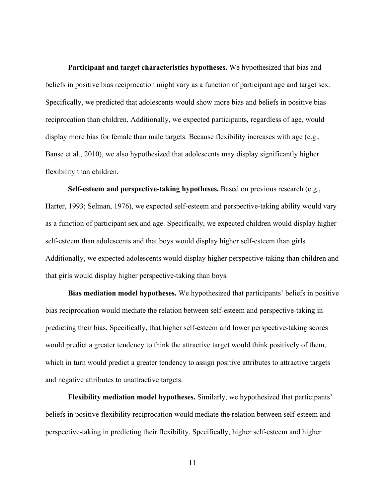**Participant and target characteristics hypotheses.** We hypothesized that bias and beliefs in positive bias reciprocation might vary as a function of participant age and target sex. Specifically, we predicted that adolescents would show more bias and beliefs in positive bias reciprocation than children. Additionally, we expected participants, regardless of age, would display more bias for female than male targets. Because flexibility increases with age (e.g., Banse et al., 2010), we also hypothesized that adolescents may display significantly higher flexibility than children.

**Self-esteem and perspective-taking hypotheses.** Based on previous research (e.g., Harter, 1993; Selman, 1976), we expected self-esteem and perspective-taking ability would vary as a function of participant sex and age. Specifically, we expected children would display higher self-esteem than adolescents and that boys would display higher self-esteem than girls. Additionally, we expected adolescents would display higher perspective-taking than children and that girls would display higher perspective-taking than boys.

**Bias mediation model hypotheses.** We hypothesized that participants' beliefs in positive bias reciprocation would mediate the relation between self-esteem and perspective-taking in predicting their bias. Specifically, that higher self-esteem and lower perspective-taking scores would predict a greater tendency to think the attractive target would think positively of them, which in turn would predict a greater tendency to assign positive attributes to attractive targets and negative attributes to unattractive targets.

**Flexibility mediation model hypotheses.** Similarly, we hypothesized that participants' beliefs in positive flexibility reciprocation would mediate the relation between self-esteem and perspective-taking in predicting their flexibility. Specifically, higher self-esteem and higher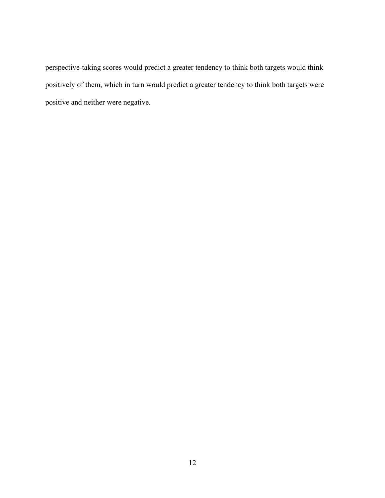perspective-taking scores would predict a greater tendency to think both targets would think positively of them, which in turn would predict a greater tendency to think both targets were positive and neither were negative.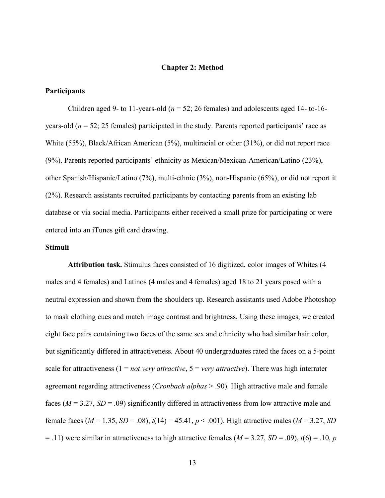#### **Chapter 2: Method**

#### **Participants**

Children aged 9- to 11-years-old ( $n = 52$ ; 26 females) and adolescents aged 14- to-16years-old  $(n = 52; 25$  females) participated in the study. Parents reported participants' race as White (55%), Black/African American (5%), multiracial or other (31%), or did not report race (9%). Parents reported participants' ethnicity as Mexican/Mexican-American/Latino (23%), other Spanish/Hispanic/Latino (7%), multi-ethnic (3%), non-Hispanic (65%), or did not report it (2%). Research assistants recruited participants by contacting parents from an existing lab database or via social media. Participants either received a small prize for participating or were entered into an iTunes gift card drawing.

#### **Stimuli**

**Attribution task.** Stimulus faces consisted of 16 digitized, color images of Whites (4 males and 4 females) and Latinos (4 males and 4 females) aged 18 to 21 years posed with a neutral expression and shown from the shoulders up. Research assistants used Adobe Photoshop to mask clothing cues and match image contrast and brightness. Using these images, we created eight face pairs containing two faces of the same sex and ethnicity who had similar hair color, but significantly differed in attractiveness. About 40 undergraduates rated the faces on a 5-point scale for attractiveness  $(1 = not \, very \, attractive, 5 = very \, attractive)$ . There was high interrater agreement regarding attractiveness (*Cronbach alphas* > .90). High attractive male and female faces (*M* = 3.27, *SD* = .09) significantly differed in attractiveness from low attractive male and female faces ( $M = 1.35$ ,  $SD = .08$ ),  $t(14) = 45.41$ ,  $p < .001$ ). High attractive males ( $M = 3.27$ , *SD*  $=$  .11) were similar in attractiveness to high attractive females ( $M = 3.27$ ,  $SD = .09$ ),  $t(6) = .10$ , *p*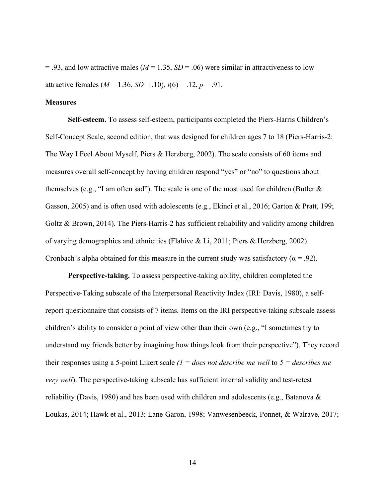$= .93$ , and low attractive males ( $M = 1.35$ ,  $SD = .06$ ) were similar in attractiveness to low attractive females ( $M = 1.36$ ,  $SD = .10$ ),  $t(6) = .12$ ,  $p = .91$ .

#### **Measures**

**Self-esteem.** To assess self-esteem, participants completed the Piers-Harris Children's Self-Concept Scale, second edition, that was designed for children ages 7 to 18 (Piers-Harris-2: The Way I Feel About Myself, Piers & Herzberg, 2002). The scale consists of 60 items and measures overall self-concept by having children respond "yes" or "no" to questions about themselves (e.g., "I am often sad"). The scale is one of the most used for children (Butler  $\&$ Gasson, 2005) and is often used with adolescents (e.g., Ekinci et al., 2016; Garton & Pratt, 199; Goltz & Brown, 2014). The Piers-Harris-2 has sufficient reliability and validity among children of varying demographics and ethnicities (Flahive & Li, 2011; Piers & Herzberg, 2002). Cronbach's alpha obtained for this measure in the current study was satisfactory ( $\alpha$  = .92).

**Perspective-taking.** To assess perspective-taking ability, children completed the Perspective-Taking subscale of the Interpersonal Reactivity Index (IRI: Davis, 1980), a selfreport questionnaire that consists of 7 items. Items on the IRI perspective-taking subscale assess children's ability to consider a point of view other than their own (e.g., "I sometimes try to understand my friends better by imagining how things look from their perspective"). They record their responses using a 5-point Likert scale *(1 = does not describe me well* to *5 = describes me very well*). The perspective-taking subscale has sufficient internal validity and test-retest reliability (Davis, 1980) and has been used with children and adolescents (e.g., Batanova  $\&$ Loukas, 2014; Hawk et al., 2013; Lane-Garon, 1998; Vanwesenbeeck, Ponnet, & Walrave, 2017;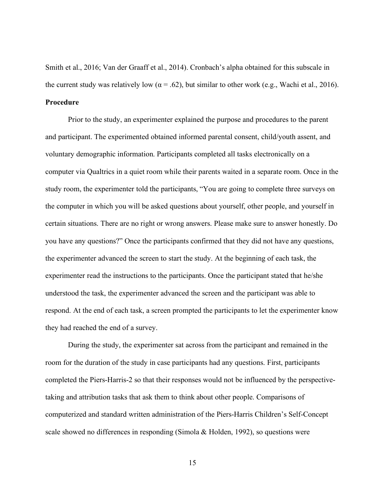Smith et al., 2016; Van der Graaff et al., 2014). Cronbach's alpha obtained for this subscale in the current study was relatively low ( $\alpha$  = .62), but similar to other work (e.g., Wachi et al., 2016). **Procedure**

Prior to the study, an experimenter explained the purpose and procedures to the parent and participant. The experimented obtained informed parental consent, child/youth assent, and voluntary demographic information. Participants completed all tasks electronically on a computer via Qualtrics in a quiet room while their parents waited in a separate room. Once in the study room, the experimenter told the participants, "You are going to complete three surveys on the computer in which you will be asked questions about yourself, other people, and yourself in certain situations. There are no right or wrong answers. Please make sure to answer honestly. Do you have any questions?" Once the participants confirmed that they did not have any questions, the experimenter advanced the screen to start the study. At the beginning of each task, the experimenter read the instructions to the participants. Once the participant stated that he/she understood the task, the experimenter advanced the screen and the participant was able to respond. At the end of each task, a screen prompted the participants to let the experimenter know they had reached the end of a survey.

During the study, the experimenter sat across from the participant and remained in the room for the duration of the study in case participants had any questions. First, participants completed the Piers-Harris-2 so that their responses would not be influenced by the perspectivetaking and attribution tasks that ask them to think about other people. Comparisons of computerized and standard written administration of the Piers-Harris Children's Self-Concept scale showed no differences in responding (Simola & Holden, 1992), so questions were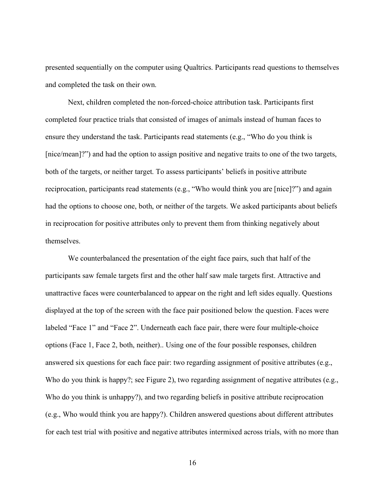presented sequentially on the computer using Qualtrics. Participants read questions to themselves and completed the task on their own.

Next, children completed the non-forced-choice attribution task. Participants first completed four practice trials that consisted of images of animals instead of human faces to ensure they understand the task. Participants read statements (e.g., "Who do you think is [nice/mean]?") and had the option to assign positive and negative traits to one of the two targets, both of the targets, or neither target. To assess participants' beliefs in positive attribute reciprocation, participants read statements (e.g., "Who would think you are [nice]?") and again had the options to choose one, both, or neither of the targets. We asked participants about beliefs in reciprocation for positive attributes only to prevent them from thinking negatively about themselves.

We counterbalanced the presentation of the eight face pairs, such that half of the participants saw female targets first and the other half saw male targets first. Attractive and unattractive faces were counterbalanced to appear on the right and left sides equally. Questions displayed at the top of the screen with the face pair positioned below the question. Faces were labeled "Face 1" and "Face 2". Underneath each face pair, there were four multiple-choice options (Face 1, Face 2, both, neither).. Using one of the four possible responses, children answered six questions for each face pair: two regarding assignment of positive attributes (e.g., Who do you think is happy?; see Figure 2), two regarding assignment of negative attributes (e.g., Who do you think is unhappy?), and two regarding beliefs in positive attribute reciprocation (e.g., Who would think you are happy?). Children answered questions about different attributes for each test trial with positive and negative attributes intermixed across trials, with no more than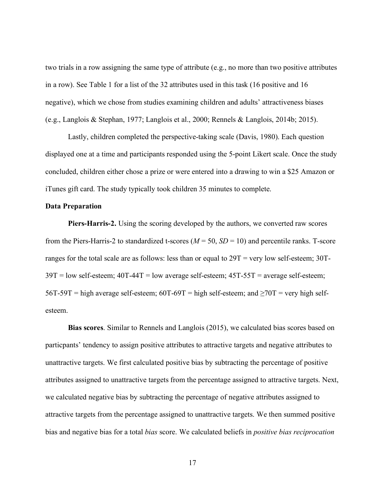two trials in a row assigning the same type of attribute (e.g., no more than two positive attributes in a row). See Table 1 for a list of the 32 attributes used in this task (16 positive and 16 negative), which we chose from studies examining children and adults' attractiveness biases (e.g., Langlois & Stephan, 1977; Langlois et al., 2000; Rennels & Langlois, 2014b; 2015).

Lastly, children completed the perspective-taking scale (Davis, 1980). Each question displayed one at a time and participants responded using the 5-point Likert scale. Once the study concluded, children either chose a prize or were entered into a drawing to win a \$25 Amazon or iTunes gift card. The study typically took children 35 minutes to complete.

#### **Data Preparation**

**Piers-Harris-2.** Using the scoring developed by the authors, we converted raw scores from the Piers-Harris-2 to standardized t-scores  $(M = 50, SD = 10)$  and percentile ranks. T-score ranges for the total scale are as follows: less than or equal to 29T = very low self-esteem; 30T- $39T =$ low self-esteem;  $40T-44T =$ low average self-esteem;  $45T-55T =$  average self-esteem; 56T-59T = high average self-esteem; 60T-69T = high self-esteem; and  $\geq 70T$  = very high selfesteem.

**Bias scores**. Similar to Rennels and Langlois (2015), we calculated bias scores based on particpants' tendency to assign positive attributes to attractive targets and negative attributes to unattractive targets. We first calculated positive bias by subtracting the percentage of positive attributes assigned to unattractive targets from the percentage assigned to attractive targets. Next, we calculated negative bias by subtracting the percentage of negative attributes assigned to attractive targets from the percentage assigned to unattractive targets. We then summed positive bias and negative bias for a total *bias* score. We calculated beliefs in *positive bias reciprocation*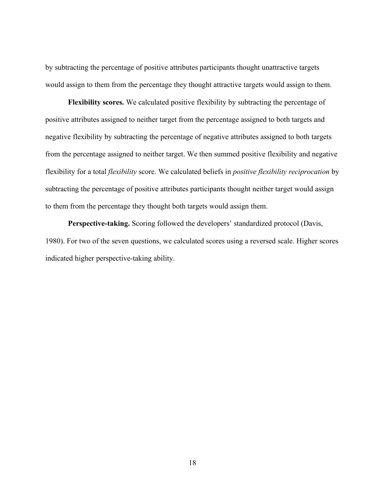by subtracting the percentage of positive attributes participants thought unattractive targets would assign to them from the percentage they thought attractive targets would assign to them.

**Flexibility scores.** We calculated positive flexibility by subtracting the percentage of positive attributes assigned to neither target from the percentage assigned to both targets and negative flexibility by subtracting the percentage of negative attributes assigned to both targets from the percentage assigned to neither target. We then summed positive flexibility and negative flexibility for a total *flexibility* score. We calculated beliefs in *positive flexibility reciprocation* by subtracting the percentage of positive attributes participants thought neither target would assign to them from the percentage they thought both targets would assign them.

**Perspective-taking.** Scoring followed the developers' standardized protocol (Davis, 1980). For two of the seven questions, we calculated scores using a reversed scale. Higher scores indicated higher perspective-taking ability.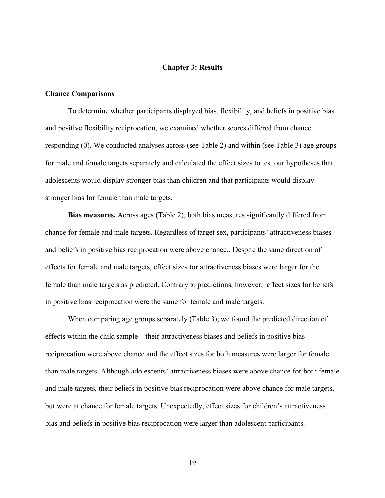#### **Chapter 3: Results**

#### **Chance Comparisons**

To determine whether participants displayed bias, flexibility, and beliefs in positive bias and positive flexibility reciprocation, we examined whether scores differed from chance responding (0). We conducted analyses across (see Table 2) and within (see Table 3) age groups for male and female targets separately and calculated the effect sizes to test our hypotheses that adolescents would display stronger bias than children and that participants would display stronger bias for female than male targets.

**Bias measures.** Across ages (Table 2), both bias measures significantly differed from chance for female and male targets. Regardless of target sex, participants' attractiveness biases and beliefs in positive bias reciprocation were above chance,. Despite the same direction of effects for female and male targets, effect sizes for attractiveness biases were larger for the female than male targets as predicted. Contrary to predictions, however, effect sizes for beliefs in positive bias reciprocation were the same for female and male targets.

When comparing age groups separately (Table 3), we found the predicted direction of effects within the child sample—their attractiveness biases and beliefs in positive bias reciprocation were above chance and the effect sizes for both measures were larger for female than male targets. Although adolescents' attractiveness biases were above chance for both female and male targets, their beliefs in positive bias reciprocation were above chance for male targets, but were at chance for female targets. Unexpectedly, effect sizes for children's attractiveness bias and beliefs in positive bias reciprocation were larger than adolescent participants.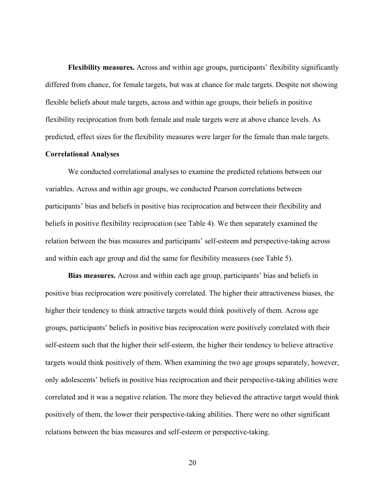**Flexibility measures.** Across and within age groups, participants' flexibility significantly differed from chance, for female targets, but was at chance for male targets. Despite not showing flexible beliefs about male targets, across and within age groups, their beliefs in positive flexibility reciprocation from both female and male targets were at above chance levels. As predicted, effect sizes for the flexibility measures were larger for the female than male targets.

#### **Correlational Analyses**

We conducted correlational analyses to examine the predicted relations between our variables. Across and within age groups, we conducted Pearson correlations between participants' bias and beliefs in positive bias reciprocation and between their flexibility and beliefs in positive flexibility reciprocation (see Table 4). We then separately examined the relation between the bias measures and participants' self-esteem and perspective-taking across and within each age group and did the same for flexibility measures (see Table 5).

**Bias measures.** Across and within each age group, participants' bias and beliefs in positive bias reciprocation were positively correlated. The higher their attractiveness biases, the higher their tendency to think attractive targets would think positively of them. Across age groups, participants' beliefs in positive bias reciprocation were positively correlated with their self-esteem such that the higher their self-esteem, the higher their tendency to believe attractive targets would think positively of them. When examining the two age groups separately, however, only adolescents' beliefs in positive bias reciprocation and their perspective-taking abilities were correlated and it was a negative relation. The more they believed the attractive target would think positively of them, the lower their perspective-taking abilities. There were no other significant relations between the bias measures and self-esteem or perspective-taking.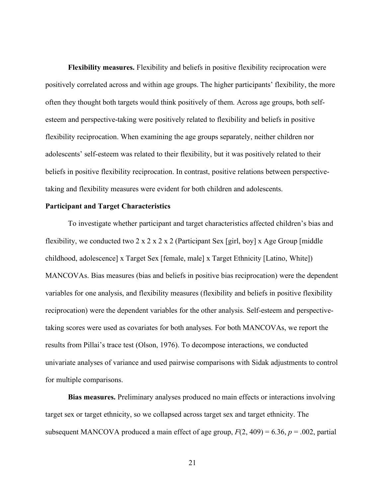**Flexibility measures.** Flexibility and beliefs in positive flexibility reciprocation were positively correlated across and within age groups. The higher participants' flexibility, the more often they thought both targets would think positively of them. Across age groups, both selfesteem and perspective-taking were positively related to flexibility and beliefs in positive flexibility reciprocation. When examining the age groups separately, neither children nor adolescents' self-esteem was related to their flexibility, but it was positively related to their beliefs in positive flexibility reciprocation. In contrast, positive relations between perspectivetaking and flexibility measures were evident for both children and adolescents.

#### **Participant and Target Characteristics**

To investigate whether participant and target characteristics affected children's bias and flexibility, we conducted two 2 x 2 x 2 x 2 (Participant Sex [girl, boy] x Age Group [middle childhood, adolescence] x Target Sex [female, male] x Target Ethnicity [Latino, White]) MANCOVAs. Bias measures (bias and beliefs in positive bias reciprocation) were the dependent variables for one analysis, and flexibility measures (flexibility and beliefs in positive flexibility reciprocation) were the dependent variables for the other analysis. Self-esteem and perspectivetaking scores were used as covariates for both analyses. For both MANCOVAs, we report the results from Pillai's trace test (Olson, 1976). To decompose interactions, we conducted univariate analyses of variance and used pairwise comparisons with Sidak adjustments to control for multiple comparisons.

**Bias measures.** Preliminary analyses produced no main effects or interactions involving target sex or target ethnicity, so we collapsed across target sex and target ethnicity. The subsequent MANCOVA produced a main effect of age group,  $F(2, 409) = 6.36$ ,  $p = .002$ , partial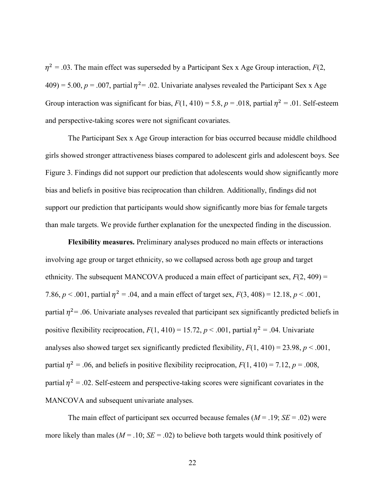$\eta^2$  = .03. The main effect was superseded by a Participant Sex x Age Group interaction, *F*(2,  $409$ ) = 5.00,  $p = .007$ , partial  $\eta^2$  = .02. Univariate analyses revealed the Participant Sex x Age Group interaction was significant for bias,  $F(1, 410) = 5.8$ ,  $p = .018$ , partial  $n^2 = .01$ . Self-esteem and perspective-taking scores were not significant covariates.

The Participant Sex x Age Group interaction for bias occurred because middle childhood girls showed stronger attractiveness biases compared to adolescent girls and adolescent boys. See Figure 3. Findings did not support our prediction that adolescents would show significantly more bias and beliefs in positive bias reciprocation than children. Additionally, findings did not support our prediction that participants would show significantly more bias for female targets than male targets. We provide further explanation for the unexpected finding in the discussion.

**Flexibility measures.** Preliminary analyses produced no main effects or interactions involving age group or target ethnicity, so we collapsed across both age group and target ethnicity. The subsequent MANCOVA produced a main effect of participant sex,  $F(2, 409) =$ 7.86,  $p < .001$ , partial  $n^2 = .04$ , and a main effect of target sex,  $F(3, 408) = 12.18$ ,  $p < .001$ , partial  $\eta^2$  = .06. Univariate analyses revealed that participant sex significantly predicted beliefs in positive flexibility reciprocation,  $F(1, 410) = 15.72$ ,  $p < .001$ , partial  $\eta^2 = .04$ . Univariate analyses also showed target sex significantly predicted flexibility,  $F(1, 410) = 23.98$ ,  $p < .001$ , partial  $\eta^2$  = .06, and beliefs in positive flexibility reciprocation,  $F(1, 410) = 7.12$ ,  $p = .008$ , partial  $\eta^2$  = .02. Self-esteem and perspective-taking scores were significant covariates in the MANCOVA and subsequent univariate analyses.

The main effect of participant sex occurred because females  $(M = .19; SE = .02)$  were more likely than males ( $M = .10$ ;  $SE = .02$ ) to believe both targets would think positively of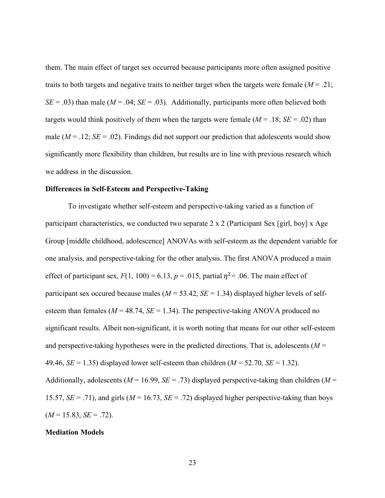them. The main effect of target sex occurred because participants more often assigned positive traits to both targets and negative traits to neither target when the targets were female  $(M = .21)$ ;  $SE = .03$ ) than male ( $M = .04$ ;  $SE = .03$ ). Additionally, participants more often believed both targets would think positively of them when the targets were female  $(M = .18; SE = .02)$  than male  $(M = .12; SE = .02)$ . Findings did not support our prediction that adolescents would show significantly more flexibility than children, but results are in line with previous research which we address in the discussion.

#### **Differences in Self-Esteem and Perspective-Taking**

To investigate whether self-esteem and perspective-taking varied as a function of participant characteristics, we conducted two separate 2 x 2 (Participant Sex [girl, boy] x Age Group [middle childhood, adolescence] ANOVAs with self-esteem as the dependent variable for one analysis, and perspective-taking for the other analysis. The first ANOVA produced a main effect of participant sex,  $F(1, 100) = 6.13$ ,  $p = .015$ , partial  $\eta^2 = .06$ . The main effect of participant sex occured because males ( $M = 53.42$ ,  $SE = 1.34$ ) displayed higher levels of selfesteem than females ( $M = 48.74$ ,  $SE = 1.34$ ). The perspective-taking ANOVA produced no significant results. Albeit non-significant, it is worth noting that means for our other self-esteem and perspective-taking hypotheses were in the predicted directions. That is, adolescents  $(M =$ 49.46, *SE* = 1.35) displayed lower self-esteem than children (*M* = 52.70, *SE* = 1.32). Additionally, adolescents ( $M = 16.99$ ,  $SE = .73$ ) displayed perspective-taking than children ( $M =$ 15.57,  $SE = .71$ ), and girls ( $M = 16.73$ ,  $SE = .72$ ) displayed higher perspective-taking than boys  $(M = 15.83, SE = .72)$ .

#### **Mediation Models**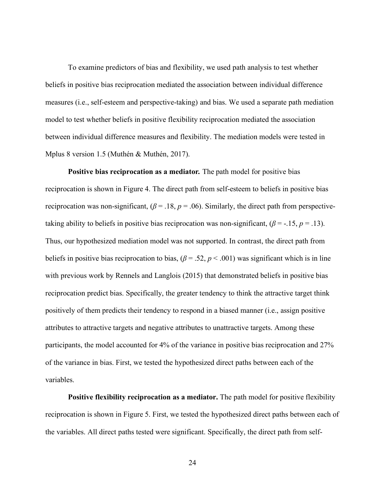To examine predictors of bias and flexibility, we used path analysis to test whether beliefs in positive bias reciprocation mediated the association between individual difference measures (i.e., self-esteem and perspective-taking) and bias. We used a separate path mediation model to test whether beliefs in positive flexibility reciprocation mediated the association between individual difference measures and flexibility. The mediation models were tested in Mplus 8 version 1.5 (Muthén & Muthén, 2017).

**Positive bias reciprocation as a mediator***.* The path model for positive bias reciprocation is shown in Figure 4. The direct path from self-esteem to beliefs in positive bias reciprocation was non-significant,  $(\beta = .18, p = .06)$ . Similarly, the direct path from perspectivetaking ability to beliefs in positive bias reciprocation was non-significant,  $(\beta = -15, p = .13)$ . Thus, our hypothesized mediation model was not supported. In contrast, the direct path from beliefs in positive bias reciprocation to bias,  $(\beta = .52, p < .001)$  was significant which is in line with previous work by Rennels and Langlois (2015) that demonstrated beliefs in positive bias reciprocation predict bias. Specifically, the greater tendency to think the attractive target think positively of them predicts their tendency to respond in a biased manner (i.e., assign positive attributes to attractive targets and negative attributes to unattractive targets. Among these participants, the model accounted for 4% of the variance in positive bias reciprocation and 27% of the variance in bias. First, we tested the hypothesized direct paths between each of the variables.

**Positive flexibility reciprocation as a mediator.** The path model for positive flexibility reciprocation is shown in Figure 5. First, we tested the hypothesized direct paths between each of the variables. All direct paths tested were significant. Specifically, the direct path from self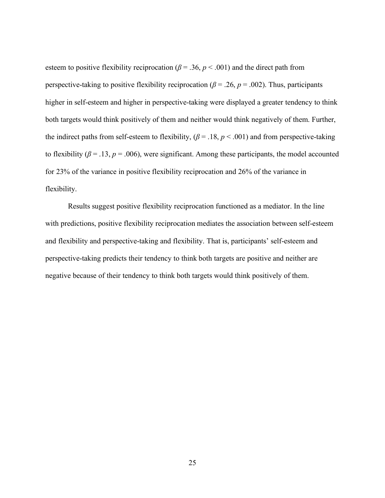esteem to positive flexibility reciprocation ( $\beta$  = .36,  $p$  < .001) and the direct path from perspective-taking to positive flexibility reciprocation ( $\beta$  = .26,  $p$  = .002). Thus, participants higher in self-esteem and higher in perspective-taking were displayed a greater tendency to think both targets would think positively of them and neither would think negatively of them. Further, the indirect paths from self-esteem to flexibility,  $(\beta = .18, p < .001)$  and from perspective-taking to flexibility ( $\beta$  = .13,  $p$  = .006), were significant. Among these participants, the model accounted for 23% of the variance in positive flexibility reciprocation and 26% of the variance in flexibility.

Results suggest positive flexibility reciprocation functioned as a mediator. In the line with predictions, positive flexibility reciprocation mediates the association between self-esteem and flexibility and perspective-taking and flexibility. That is, participants' self-esteem and perspective-taking predicts their tendency to think both targets are positive and neither are negative because of their tendency to think both targets would think positively of them.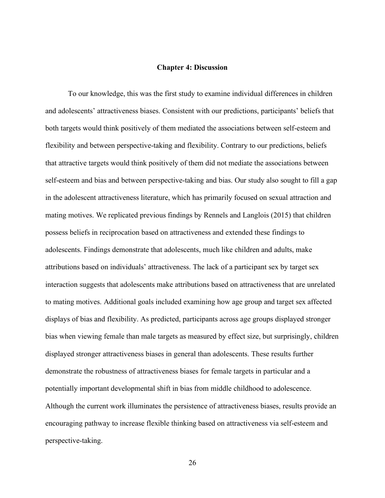#### **Chapter 4: Discussion**

To our knowledge, this was the first study to examine individual differences in children and adolescents' attractiveness biases. Consistent with our predictions, participants' beliefs that both targets would think positively of them mediated the associations between self-esteem and flexibility and between perspective-taking and flexibility. Contrary to our predictions, beliefs that attractive targets would think positively of them did not mediate the associations between self-esteem and bias and between perspective-taking and bias. Our study also sought to fill a gap in the adolescent attractiveness literature, which has primarily focused on sexual attraction and mating motives. We replicated previous findings by Rennels and Langlois (2015) that children possess beliefs in reciprocation based on attractiveness and extended these findings to adolescents. Findings demonstrate that adolescents, much like children and adults, make attributions based on individuals' attractiveness. The lack of a participant sex by target sex interaction suggests that adolescents make attributions based on attractiveness that are unrelated to mating motives. Additional goals included examining how age group and target sex affected displays of bias and flexibility. As predicted, participants across age groups displayed stronger bias when viewing female than male targets as measured by effect size, but surprisingly, children displayed stronger attractiveness biases in general than adolescents. These results further demonstrate the robustness of attractiveness biases for female targets in particular and a potentially important developmental shift in bias from middle childhood to adolescence. Although the current work illuminates the persistence of attractiveness biases, results provide an encouraging pathway to increase flexible thinking based on attractiveness via self-esteem and perspective-taking.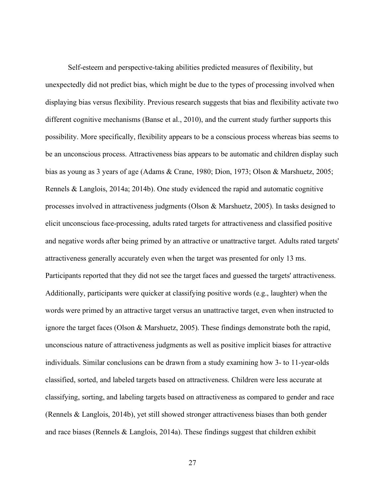Self-esteem and perspective-taking abilities predicted measures of flexibility, but unexpectedly did not predict bias, which might be due to the types of processing involved when displaying bias versus flexibility. Previous research suggests that bias and flexibility activate two different cognitive mechanisms (Banse et al., 2010), and the current study further supports this possibility. More specifically, flexibility appears to be a conscious process whereas bias seems to be an unconscious process. Attractiveness bias appears to be automatic and children display such bias as young as 3 years of age (Adams & Crane, 1980; Dion, 1973; Olson & Marshuetz, 2005; Rennels & Langlois, 2014a; 2014b). One study evidenced the rapid and automatic cognitive processes involved in attractiveness judgments (Olson & Marshuetz, 2005). In tasks designed to elicit unconscious face-processing, adults rated targets for attractiveness and classified positive and negative words after being primed by an attractive or unattractive target. Adults rated targets' attractiveness generally accurately even when the target was presented for only 13 ms. Participants reported that they did not see the target faces and guessed the targets' attractiveness. Additionally, participants were quicker at classifying positive words (e.g., laughter) when the words were primed by an attractive target versus an unattractive target, even when instructed to ignore the target faces (Olson & Marshuetz, 2005). These findings demonstrate both the rapid, unconscious nature of attractiveness judgments as well as positive implicit biases for attractive individuals. Similar conclusions can be drawn from a study examining how 3- to 11-year-olds classified, sorted, and labeled targets based on attractiveness. Children were less accurate at classifying, sorting, and labeling targets based on attractiveness as compared to gender and race (Rennels & Langlois, 2014b), yet still showed stronger attractiveness biases than both gender and race biases (Rennels & Langlois, 2014a). These findings suggest that children exhibit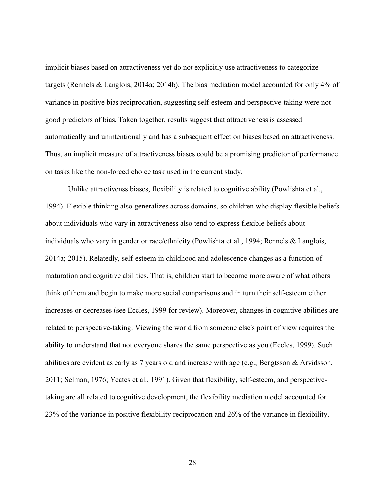implicit biases based on attractiveness yet do not explicitly use attractiveness to categorize targets (Rennels & Langlois, 2014a; 2014b). The bias mediation model accounted for only 4% of variance in positive bias reciprocation, suggesting self-esteem and perspective-taking were not good predictors of bias. Taken together, results suggest that attractiveness is assessed automatically and unintentionally and has a subsequent effect on biases based on attractiveness. Thus, an implicit measure of attractiveness biases could be a promising predictor of performance on tasks like the non-forced choice task used in the current study.

Unlike attractivenss biases, flexibility is related to cognitive ability (Powlishta et al., 1994). Flexible thinking also generalizes across domains, so children who display flexible beliefs about individuals who vary in attractiveness also tend to express flexible beliefs about individuals who vary in gender or race/ethnicity (Powlishta et al., 1994; Rennels & Langlois, 2014a; 2015). Relatedly, self-esteem in childhood and adolescence changes as a function of maturation and cognitive abilities. That is, children start to become more aware of what others think of them and begin to make more social comparisons and in turn their self-esteem either increases or decreases (see Eccles, 1999 for review). Moreover, changes in cognitive abilities are related to perspective-taking. Viewing the world from someone else's point of view requires the ability to understand that not everyone shares the same perspective as you (Eccles, 1999). Such abilities are evident as early as 7 years old and increase with age (e.g., Bengtsson & Arvidsson, 2011; Selman, 1976; Yeates et al., 1991). Given that flexibility, self-esteem, and perspectivetaking are all related to cognitive development, the flexibility mediation model accounted for 23% of the variance in positive flexibility reciprocation and 26% of the variance in flexibility.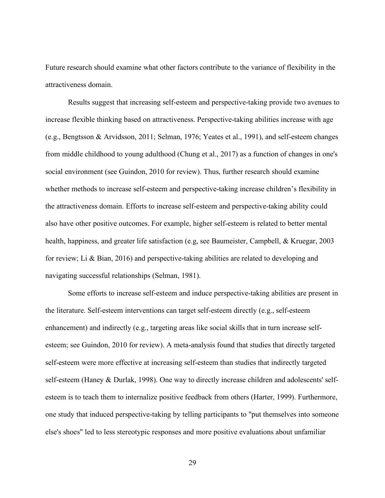Future research should examine what other factors contribute to the variance of flexibility in the attractiveness domain.

Results suggest that increasing self-esteem and perspective-taking provide two avenues to increase flexible thinking based on attractiveness. Perspective-taking abilities increase with age (e.g., Bengtsson & Arvidsson, 2011; Selman, 1976; Yeates et al., 1991), and self-esteem changes from middle childhood to young adulthood (Chung et al., 2017) as a function of changes in one's social environment (see Guindon, 2010 for review). Thus, further research should examine whether methods to increase self-esteem and perspective-taking increase children's flexibility in the attractiveness domain. Efforts to increase self-esteem and perspective-taking ability could also have other positive outcomes. For example, higher self-esteem is related to better mental health, happiness, and greater life satisfaction (e.g, see Baumeister, Campbell, & Kruegar, 2003 for review; Li & Bian, 2016) and perspective-taking abilities are related to developing and navigating successful relationships (Selman, 1981).

Some efforts to increase self-esteem and induce perspective-taking abilities are present in the literature. Self-esteem interventions can target self-esteem directly (e.g., self-esteem enhancement) and indirectly (e.g., targeting areas like social skills that in turn increase selfesteem; see Guindon, 2010 for review). A meta-analysis found that studies that directly targeted self-esteem were more effective at increasing self-esteem than studies that indirectly targeted self-esteem (Haney & Durlak, 1998). One way to directly increase children and adolescents' selfesteem is to teach them to internalize positive feedback from others (Harter, 1999). Furthermore, one study that induced perspective-taking by telling participants to "put themselves into someone else's shoes" led to less stereotypic responses and more positive evaluations about unfamiliar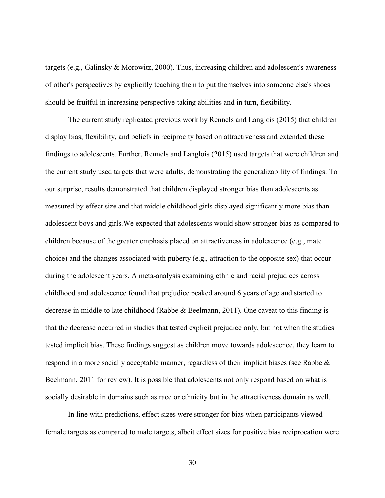targets (e.g., Galinsky & Morowitz, 2000). Thus, increasing children and adolescent's awareness of other's perspectives by explicitly teaching them to put themselves into someone else's shoes should be fruitful in increasing perspective-taking abilities and in turn, flexibility.

The current study replicated previous work by Rennels and Langlois (2015) that children display bias, flexibility, and beliefs in reciprocity based on attractiveness and extended these findings to adolescents. Further, Rennels and Langlois (2015) used targets that were children and the current study used targets that were adults, demonstrating the generalizability of findings. To our surprise, results demonstrated that children displayed stronger bias than adolescents as measured by effect size and that middle childhood girls displayed significantly more bias than adolescent boys and girls.We expected that adolescents would show stronger bias as compared to children because of the greater emphasis placed on attractiveness in adolescence (e.g., mate choice) and the changes associated with puberty (e.g., attraction to the opposite sex) that occur during the adolescent years. A meta-analysis examining ethnic and racial prejudices across childhood and adolescence found that prejudice peaked around 6 years of age and started to decrease in middle to late childhood (Rabbe & Beelmann, 2011). One caveat to this finding is that the decrease occurred in studies that tested explicit prejudice only, but not when the studies tested implicit bias. These findings suggest as children move towards adolescence, they learn to respond in a more socially acceptable manner, regardless of their implicit biases (see Rabbe & Beelmann, 2011 for review). It is possible that adolescents not only respond based on what is socially desirable in domains such as race or ethnicity but in the attractiveness domain as well.

In line with predictions, effect sizes were stronger for bias when participants viewed female targets as compared to male targets, albeit effect sizes for positive bias reciprocation were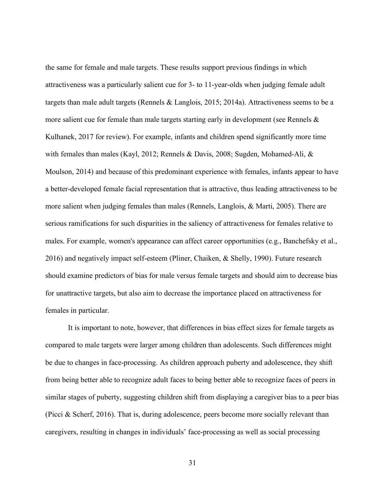the same for female and male targets. These results support previous findings in which attractiveness was a particularly salient cue for 3- to 11-year-olds when judging female adult targets than male adult targets (Rennels & Langlois, 2015; 2014a). Attractiveness seems to be a more salient cue for female than male targets starting early in development (see Rennels  $\&$ Kulhanek, 2017 for review). For example, infants and children spend significantly more time with females than males (Kayl, 2012; Rennels & Davis, 2008; Sugden, Mohamed-Ali, & Moulson, 2014) and because of this predominant experience with females, infants appear to have a better-developed female facial representation that is attractive, thus leading attractiveness to be more salient when judging females than males (Rennels, Langlois, & Marti, 2005). There are serious ramifications for such disparities in the saliency of attractiveness for females relative to males. For example, women's appearance can affect career opportunities (e.g., Banchefsky et al., 2016) and negatively impact self-esteem (Pliner, Chaiken, & Shelly, 1990). Future research should examine predictors of bias for male versus female targets and should aim to decrease bias for unattractive targets, but also aim to decrease the importance placed on attractiveness for females in particular.

It is important to note, however, that differences in bias effect sizes for female targets as compared to male targets were larger among children than adolescents. Such differences might be due to changes in face-processing. As children approach puberty and adolescence, they shift from being better able to recognize adult faces to being better able to recognize faces of peers in similar stages of puberty, suggesting children shift from displaying a caregiver bias to a peer bias (Picci & Scherf, 2016). That is, during adolescence, peers become more socially relevant than caregivers, resulting in changes in individuals' face-processing as well as social processing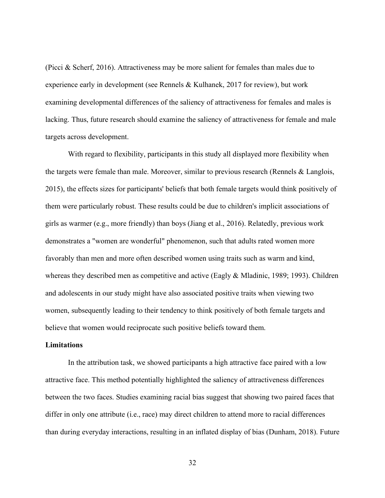(Picci & Scherf, 2016). Attractiveness may be more salient for females than males due to experience early in development (see Rennels & Kulhanek, 2017 for review), but work examining developmental differences of the saliency of attractiveness for females and males is lacking. Thus, future research should examine the saliency of attractiveness for female and male targets across development.

With regard to flexibility, participants in this study all displayed more flexibility when the targets were female than male. Moreover, similar to previous research (Rennels & Langlois, 2015), the effects sizes for participants' beliefs that both female targets would think positively of them were particularly robust. These results could be due to children's implicit associations of girls as warmer (e.g., more friendly) than boys (Jiang et al., 2016). Relatedly, previous work demonstrates a "women are wonderful" phenomenon, such that adults rated women more favorably than men and more often described women using traits such as warm and kind, whereas they described men as competitive and active (Eagly & Mladinic, 1989; 1993). Children and adolescents in our study might have also associated positive traits when viewing two women, subsequently leading to their tendency to think positively of both female targets and believe that women would reciprocate such positive beliefs toward them.

#### **Limitations**

In the attribution task, we showed participants a high attractive face paired with a low attractive face. This method potentially highlighted the saliency of attractiveness differences between the two faces. Studies examining racial bias suggest that showing two paired faces that differ in only one attribute (i.e., race) may direct children to attend more to racial differences than during everyday interactions, resulting in an inflated display of bias (Dunham, 2018). Future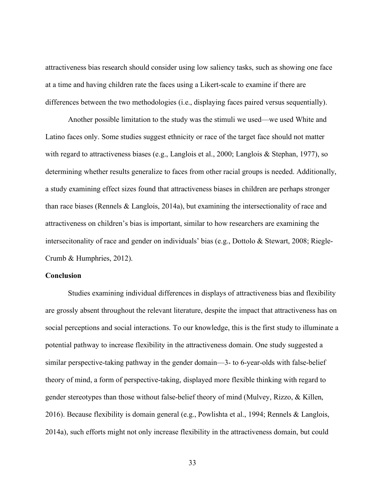attractiveness bias research should consider using low saliency tasks, such as showing one face at a time and having children rate the faces using a Likert-scale to examine if there are differences between the two methodologies (i.e., displaying faces paired versus sequentially).

Another possible limitation to the study was the stimuli we used—we used White and Latino faces only. Some studies suggest ethnicity or race of the target face should not matter with regard to attractiveness biases (e.g., Langlois et al., 2000; Langlois & Stephan, 1977), so determining whether results generalize to faces from other racial groups is needed. Additionally, a study examining effect sizes found that attractiveness biases in children are perhaps stronger than race biases (Rennels  $&$  Langlois, 2014a), but examining the intersectionality of race and attractiveness on children's bias is important, similar to how researchers are examining the intersecitonality of race and gender on individuals' bias (e.g., Dottolo & Stewart, 2008; Riegle-Crumb & Humphries, 2012).

#### **Conclusion**

Studies examining individual differences in displays of attractiveness bias and flexibility are grossly absent throughout the relevant literature, despite the impact that attractiveness has on social perceptions and social interactions. To our knowledge, this is the first study to illuminate a potential pathway to increase flexibility in the attractiveness domain. One study suggested a similar perspective-taking pathway in the gender domain—3- to 6-year-olds with false-belief theory of mind, a form of perspective-taking, displayed more flexible thinking with regard to gender stereotypes than those without false-belief theory of mind (Mulvey, Rizzo, & Killen, 2016). Because flexibility is domain general (e.g., Powlishta et al., 1994; Rennels & Langlois, 2014a), such efforts might not only increase flexibility in the attractiveness domain, but could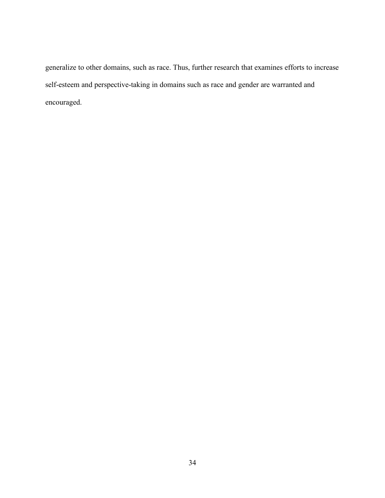generalize to other domains, such as race. Thus, further research that examines efforts to increase self-esteem and perspective-taking in domains such as race and gender are warranted and encouraged.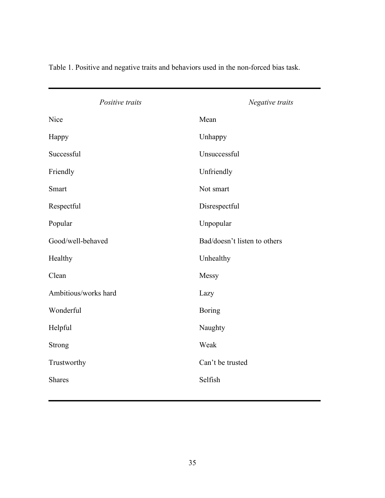| Positive traits      | Negative traits              |
|----------------------|------------------------------|
| Nice                 | Mean                         |
| Happy                | Unhappy                      |
| Successful           | Unsuccessful                 |
| Friendly             | Unfriendly                   |
| Smart                | Not smart                    |
| Respectful           | Disrespectful                |
| Popular              | Unpopular                    |
| Good/well-behaved    | Bad/doesn't listen to others |
| Healthy              | Unhealthy                    |
| Clean                | Messy                        |
| Ambitious/works hard | Lazy                         |
| Wonderful            | <b>Boring</b>                |
| Helpful              | Naughty                      |
| Strong               | Weak                         |
| Trustworthy          | Can't be trusted             |
| Shares               | Selfish                      |

Table 1. Positive and negative traits and behaviors used in the non-forced bias task.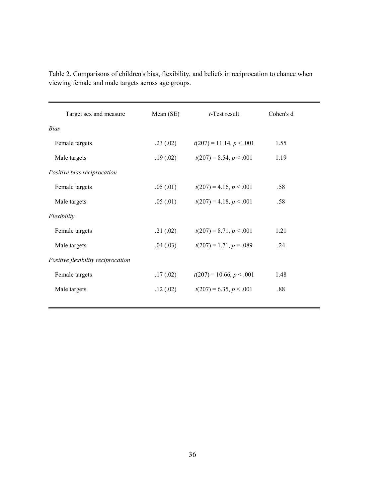| Target sex and measure             | Mean (SE) | $t$ -Test result           | Cohen's d |
|------------------------------------|-----------|----------------------------|-----------|
| <b>Bias</b>                        |           |                            |           |
| Female targets                     | .23(.02)  | $t(207) = 11.14, p < .001$ | 1.55      |
| Male targets                       | .19(.02)  | $t(207) = 8.54, p < .001$  | 1.19      |
| Positive bias reciprocation        |           |                            |           |
| Female targets                     | .05(.01)  | $t(207) = 4.16, p < .001$  | .58       |
| Male targets                       | .05(.01)  | $t(207) = 4.18, p < .001$  | .58       |
| Flexibility                        |           |                            |           |
| Female targets                     | .21(.02)  | $t(207) = 8.71, p < .001$  | 1.21      |
| Male targets                       | .04(.03)  | $t(207) = 1.71, p = .089$  | .24       |
| Positive flexibility reciprocation |           |                            |           |
| Female targets                     | .17(02)   | $t(207) = 10.66, p < .001$ | 1.48      |
| Male targets                       | .12(.02)  | $t(207) = 6.35, p < .001$  | .88       |
|                                    |           |                            |           |

Table 2. Comparisons of children's bias, flexibility, and beliefs in reciprocation to chance when viewing female and male targets across age groups.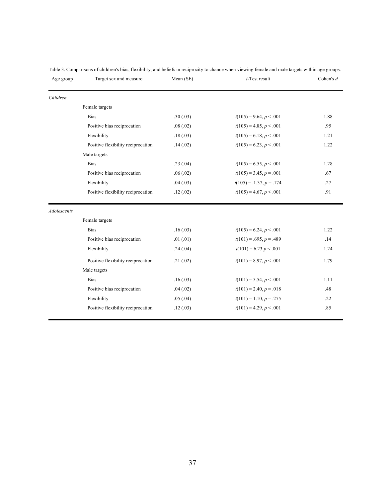| Age group          | Target sex and measure             | Mean (SE) | $t$ -Test result            | Cohen's $d$ |
|--------------------|------------------------------------|-----------|-----------------------------|-------------|
| Children           |                                    |           |                             |             |
|                    | Female targets                     |           |                             |             |
|                    | <b>Bias</b>                        | .30(.03)  | $t(105) = 9.64, p < .001$   | 1.88        |
|                    | Positive bias reciprocation        | .08(.02)  | $t(105) = 4.85, p < .001$   | .95         |
|                    | Flexibility                        | .18(.03)  | $t(105) = 6.18, p < .001$   | 1.21        |
|                    | Positive flexibility reciprocation | .14(.02)  | $t(105) = 6.23, p < .001$   | 1.22        |
|                    | Male targets                       |           |                             |             |
|                    | <b>Bias</b>                        | .23(.04)  | $t(105) = 6.55, p < .001$   | 1.28        |
|                    | Positive bias reciprocation        | .06(.02)  | $t(105) = 3.45, p = .001$   | .67         |
|                    | Flexibility                        | .04(.03)  | $t(105) = .1.37, p = .174$  | .27         |
|                    | Positive flexibility reciprocation | .12(.02)  | $t(105) = 4.67, p < .001$   | .91         |
| <b>Adolescents</b> |                                    |           |                             |             |
|                    | Female targets                     |           |                             |             |
|                    | <b>Bias</b>                        | .16(.03)  | $t(105) = 6.24, p < .001$   | 1.22        |
|                    | Positive bias reciprocation        | .01(0.01) | $t(101) = .695, p = .489$   | .14         |
|                    | Flexibility                        | .24(.04)  | $t(101) = 6.23 p \le 0.001$ | 1.24        |
|                    | Positive flexibility reciprocation | .21(.02)  | $t(101) = 8.97, p < .001$   | 1.79        |
|                    | Male targets                       |           |                             |             |
|                    | <b>Bias</b>                        | .16(.03)  | $t(101) = 5.54, p < .001$   | 1.11        |
|                    | Positive bias reciprocation        | .04(.02)  | $t(101) = 2.40, p = .018$   | .48         |
|                    | Flexibility                        | .05(.04)  | $t(101) = 1.10, p = .275$   | .22         |
|                    | Positive flexibility reciprocation | .12(.03)  | $t(101) = 4.29, p < .001$   | .85         |
|                    |                                    |           |                             |             |

Table 3. Comparisons of children's bias, flexibility, and beliefs in reciprocity to chance when viewing female and male targets within age groups.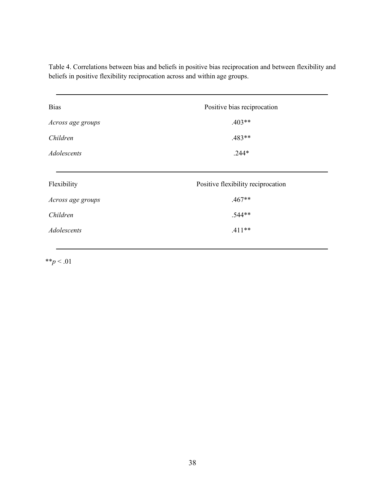Table 4. Correlations between bias and beliefs in positive bias reciprocation and between flexibility and beliefs in positive flexibility reciprocation across and within age groups.

| <b>Bias</b>       | Positive bias reciprocation        |  |
|-------------------|------------------------------------|--|
| Across age groups | $.403**$                           |  |
| Children          | $.483**$                           |  |
| Adolescents       | $.244*$                            |  |
|                   |                                    |  |
|                   |                                    |  |
| Flexibility       | Positive flexibility reciprocation |  |
| Across age groups | $.467**$                           |  |
| Children          | $.544**$                           |  |
| Adolescents       | $.411**$                           |  |

 $*$ *\*p* < .01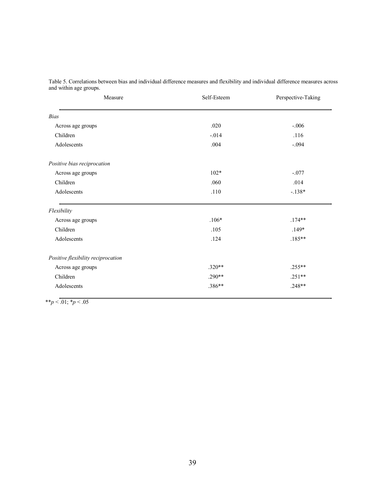| Measure                            | Self-Esteem | Perspective-Taking |
|------------------------------------|-------------|--------------------|
| Bias                               |             |                    |
| Across age groups                  | .020        | $-.006$            |
| Children                           | $-.014$     | .116               |
| Adolescents                        | .004        | $-.094$            |
| Positive bias reciprocation        |             |                    |
| Across age groups                  | $102*$      | $-.077$            |
| Children                           | .060        | .014               |
| Adolescents                        | $.110$      | $-.138*$           |
| Flexibility                        |             |                    |
| Across age groups                  | $.106*$     | $.174**$           |
| Children                           | .105        | $.149*$            |
| Adolescents                        | .124        | $.185**$           |
| Positive flexibility reciprocation |             |                    |
| Across age groups                  | $.320**$    | $.255**$           |
| Children                           | $.290**$    | $.251**$           |
| Adolescents                        | .386**      | $.248**$           |

Table 5. Correlations between bias and individual difference measures and flexibility and individual difference measures across and within age groups.

 $**p < 0.01; *p < 0.05$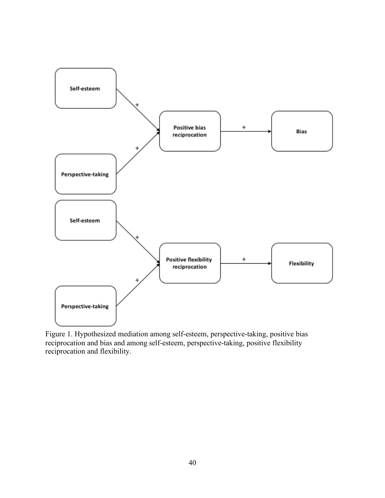

Figure 1. Hypothesized mediation among self-esteem, perspective-taking, positive bias reciprocation and bias and among self-esteem, perspective-taking, positive flexibility reciprocation and flexibility.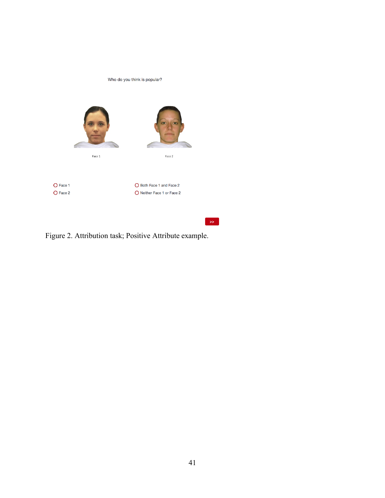

Figure 2. Attribution task; Positive Attribute example.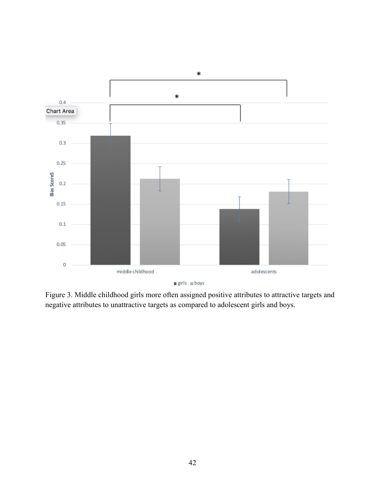

Figure 3. Middle childhood girls more often assigned positive attributes to attractive targets and negative attributes to unattractive targets as compared to adolescent girls and boys.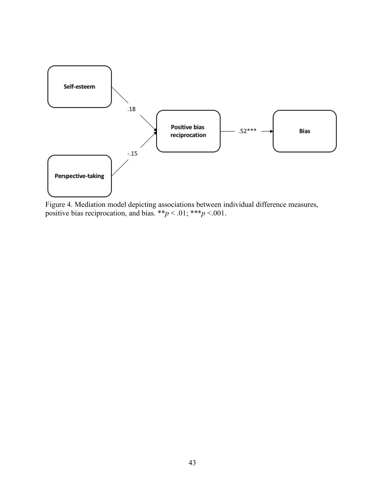

Figure 4. Mediation model depicting associations between individual difference measures, positive bias reciprocation, and bias.  $**p < .01$ ;  $***p < .001$ .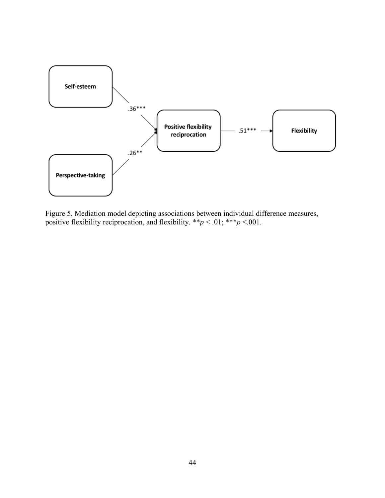

Figure 5. Mediation model depicting associations between individual difference measures, positive flexibility reciprocation, and flexibility.  $**p < .01$ ;  $***p < .001$ .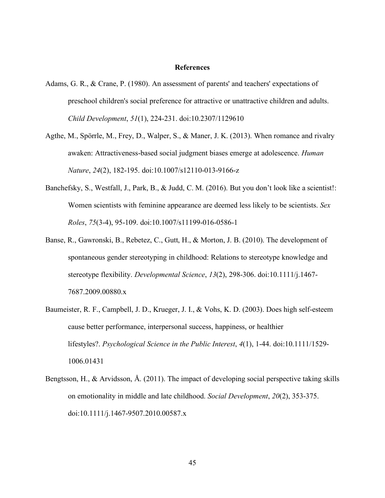#### **References**

- Adams, G. R., & Crane, P. (1980). An assessment of parents' and teachers' expectations of preschool children's social preference for attractive or unattractive children and adults. *Child Development*, *51*(1), 224-231. doi:10.2307/1129610
- Agthe, M., Spörrle, M., Frey, D., Walper, S., & Maner, J. K. (2013). When romance and rivalry awaken: Attractiveness-based social judgment biases emerge at adolescence. *Human Nature*, *24*(2), 182-195. doi:10.1007/s12110-013-9166-z
- Banchefsky, S., Westfall, J., Park, B., & Judd, C. M. (2016). But you don't look like a scientist!: Women scientists with feminine appearance are deemed less likely to be scientists. *Sex Roles*, *75*(3-4), 95-109. doi:10.1007/s11199-016-0586-1
- Banse, R., Gawronski, B., Rebetez, C., Gutt, H., & Morton, J. B. (2010). The development of spontaneous gender stereotyping in childhood: Relations to stereotype knowledge and stereotype flexibility. *Developmental Science*, *13*(2), 298-306. doi:10.1111/j.1467- 7687.2009.00880.x
- Baumeister, R. F., Campbell, J. D., Krueger, J. I., & Vohs, K. D. (2003). Does high self-esteem cause better performance, interpersonal success, happiness, or healthier lifestyles?. *Psychological Science in the Public Interest*, *4*(1), 1-44. doi:10.1111/1529- 1006.01431
- Bengtsson, H., & Arvidsson, Å. (2011). The impact of developing social perspective taking skills on emotionality in middle and late childhood. *Social Development*, *20*(2), 353-375. doi:10.1111/j.1467-9507.2010.00587.x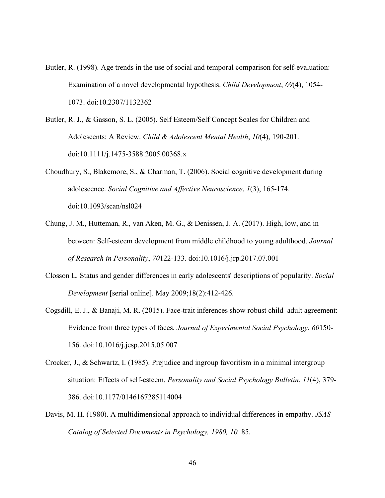- Butler, R. (1998). Age trends in the use of social and temporal comparison for self-evaluation: Examination of a novel developmental hypothesis. *Child Development*, *69*(4), 1054- 1073. doi:10.2307/1132362
- Butler, R. J., & Gasson, S. L. (2005). Self Esteem/Self Concept Scales for Children and Adolescents: A Review. *Child & Adolescent Mental Health*, *10*(4), 190-201. doi:10.1111/j.1475-3588.2005.00368.x
- Choudhury, S., Blakemore, S., & Charman, T. (2006). Social cognitive development during adolescence. *Social Cognitive and Affective Neuroscience*, *1*(3), 165-174. doi:10.1093/scan/nsl024
- Chung, J. M., Hutteman, R., van Aken, M. G., & Denissen, J. A. (2017). High, low, and in between: Self-esteem development from middle childhood to young adulthood. *Journal of Research in Personality*, *70*122-133. doi:10.1016/j.jrp.2017.07.001
- Closson L. Status and gender differences in early adolescents' descriptions of popularity. *Social Development* [serial online]. May 2009;18(2):412-426.
- Cogsdill, E. J., & Banaji, M. R. (2015). Face-trait inferences show robust child–adult agreement: Evidence from three types of faces. *Journal of Experimental Social Psychology*, *60*150- 156. doi:10.1016/j.jesp.2015.05.007
- Crocker, J., & Schwartz, I. (1985). Prejudice and ingroup favoritism in a minimal intergroup situation: Effects of self-esteem. *Personality and Social Psychology Bulletin*, *11*(4), 379- 386. doi:10.1177/0146167285114004
- Davis, M. H. (1980). A multidimensional approach to individual differences in empathy. *JSAS Catalog of Selected Documents in Psychology, 1980, 10,* 85.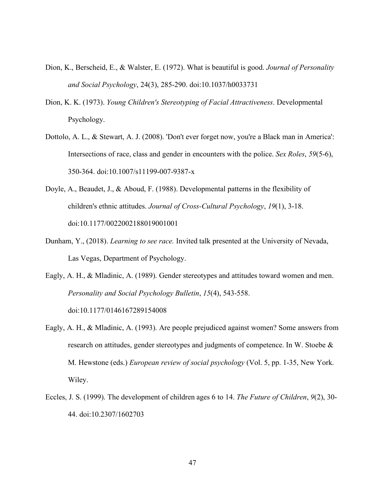- Dion, K., Berscheid, E., & Walster, E. (1972). What is beautiful is good. *Journal of Personality and Social Psychology*, 24(3), 285-290. doi:10.1037/h0033731
- Dion, K. K. (1973). *Young Children's Stereotyping of Facial Attractiveness*. Developmental Psychology.
- Dottolo, A. L., & Stewart, A. J. (2008). 'Don't ever forget now, you're a Black man in America': Intersections of race, class and gender in encounters with the police. *Sex Roles*, *59*(5-6), 350-364. doi:10.1007/s11199-007-9387-x
- Doyle, A., Beaudet, J., & Aboud, F. (1988). Developmental patterns in the flexibility of children's ethnic attitudes. *Journal of Cross-Cultural Psychology*, *19*(1), 3-18. doi:10.1177/0022002188019001001
- Dunham, Y., (2018). *Learning to see race.* Invited talk presented at the University of Nevada, Las Vegas, Department of Psychology.
- Eagly, A. H., & Mladinic, A. (1989). Gender stereotypes and attitudes toward women and men. *Personality and Social Psychology Bulletin*, *15*(4), 543-558. doi:10.1177/0146167289154008
- Eagly, A. H., & Mladinic, A. (1993). Are people prejudiced against women? Some answers from research on attitudes, gender stereotypes and judgments of competence. In W. Stoebe & M. Hewstone (eds.) *European review of social psychology* (Vol. 5, pp. 1-35, New York. Wiley.
- Eccles, J. S. (1999). The development of children ages 6 to 14. *The Future of Children*, *9*(2), 30- 44. doi:10.2307/1602703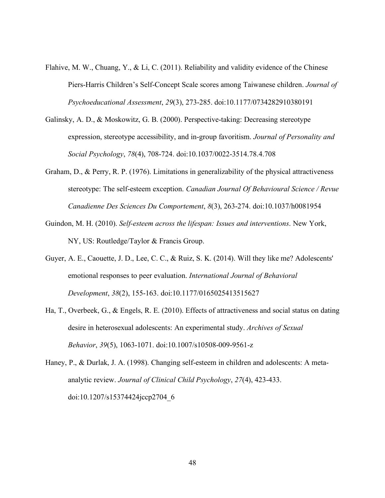- Flahive, M. W., Chuang, Y., & Li, C. (2011). Reliability and validity evidence of the Chinese Piers-Harris Children's Self-Concept Scale scores among Taiwanese children. *Journal of Psychoeducational Assessment*, *29*(3), 273-285. doi:10.1177/0734282910380191
- Galinsky, A. D., & Moskowitz, G. B. (2000). Perspective-taking: Decreasing stereotype expression, stereotype accessibility, and in-group favoritism. *Journal of Personality and Social Psychology*, *78*(4), 708-724. doi:10.1037/0022-3514.78.4.708
- Graham, D., & Perry, R. P. (1976). Limitations in generalizability of the physical attractiveness stereotype: The self-esteem exception. *Canadian Journal Of Behavioural Science / Revue Canadienne Des Sciences Du Comportement*, *8*(3), 263-274. doi:10.1037/h0081954
- Guindon, M. H. (2010). *Self-esteem across the lifespan: Issues and interventions*. New York, NY, US: Routledge/Taylor & Francis Group.
- Guyer, A. E., Caouette, J. D., Lee, C. C., & Ruiz, S. K. (2014). Will they like me? Adolescents' emotional responses to peer evaluation. *International Journal of Behavioral Development*, *38*(2), 155-163. doi:10.1177/0165025413515627
- Ha, T., Overbeek, G., & Engels, R. E. (2010). Effects of attractiveness and social status on dating desire in heterosexual adolescents: An experimental study. *Archives of Sexual Behavior*, *39*(5), 1063-1071. doi:10.1007/s10508-009-9561-z
- Haney, P., & Durlak, J. A. (1998). Changing self-esteem in children and adolescents: A metaanalytic review. *Journal of Clinical Child Psychology*, *27*(4), 423-433. doi:10.1207/s15374424jccp2704\_6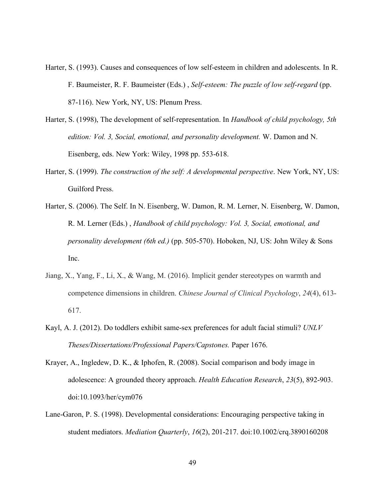- Harter, S. (1993). Causes and consequences of low self-esteem in children and adolescents. In R. F. Baumeister, R. F. Baumeister (Eds.) , *Self-esteem: The puzzle of low self-regard* (pp. 87-116). New York, NY, US: Plenum Press.
- Harter, S. (1998), The development of self-representation. In *Handbook of child psychology, 5th edition: Vol. 3, Social, emotional, and personality development.* W. Damon and N. Eisenberg, eds. New York: Wiley, 1998 pp. 553-618.
- Harter, S. (1999). *The construction of the self: A developmental perspective*. New York, NY, US: Guilford Press.
- Harter, S. (2006). The Self. In N. Eisenberg, W. Damon, R. M. Lerner, N. Eisenberg, W. Damon, R. M. Lerner (Eds.) , *Handbook of child psychology: Vol. 3, Social, emotional, and personality development (6th ed.)* (pp. 505-570). Hoboken, NJ, US: John Wiley & Sons Inc.
- Jiang, X., Yang, F., Li, X., & Wang, M. (2016). Implicit gender stereotypes on warmth and competence dimensions in children. *Chinese Journal of Clinical Psychology*, *24*(4), 613- 617.
- Kayl, A. J. (2012). Do toddlers exhibit same-sex preferences for adult facial stimuli? *UNLV Theses/Dissertations/Professional Papers/Capstones.* Paper 1676.
- Krayer, A., Ingledew, D. K., & Iphofen, R. (2008). Social comparison and body image in adolescence: A grounded theory approach. *Health Education Research*, *23*(5), 892-903. doi:10.1093/her/cym076
- Lane-Garon, P. S. (1998). Developmental considerations: Encouraging perspective taking in student mediators. *Mediation Quarterly*, *16*(2), 201-217. doi:10.1002/crq.3890160208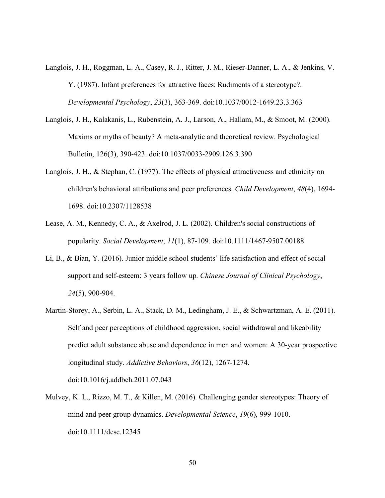- Langlois, J. H., Roggman, L. A., Casey, R. J., Ritter, J. M., Rieser-Danner, L. A., & Jenkins, V. Y. (1987). Infant preferences for attractive faces: Rudiments of a stereotype?. *Developmental Psychology*, *23*(3), 363-369. doi:10.1037/0012-1649.23.3.363
- Langlois, J. H., Kalakanis, L., Rubenstein, A. J., Larson, A., Hallam, M., & Smoot, M. (2000). Maxims or myths of beauty? A meta-analytic and theoretical review. Psychological Bulletin, 126(3), 390-423. doi:10.1037/0033-2909.126.3.390
- Langlois, J. H., & Stephan, C. (1977). The effects of physical attractiveness and ethnicity on children's behavioral attributions and peer preferences. *Child Development*, *48*(4), 1694- 1698. doi:10.2307/1128538
- Lease, A. M., Kennedy, C. A., & Axelrod, J. L. (2002). Children's social constructions of popularity. *Social Development*, *11*(1), 87-109. doi:10.1111/1467-9507.00188
- Li, B., & Bian, Y. (2016). Junior middle school students' life satisfaction and effect of social support and self-esteem: 3 years follow up. *Chinese Journal of Clinical Psychology*, *24*(5), 900-904.
- Martin-Storey, A., Serbin, L. A., Stack, D. M., Ledingham, J. E., & Schwartzman, A. E. (2011). Self and peer perceptions of childhood aggression, social withdrawal and likeability predict adult substance abuse and dependence in men and women: A 30-year prospective longitudinal study. *Addictive Behaviors*, *36*(12), 1267-1274. doi:10.1016/j.addbeh.2011.07.043
- Mulvey, K. L., Rizzo, M. T., & Killen, M. (2016). Challenging gender stereotypes: Theory of mind and peer group dynamics. *Developmental Science*, *19*(6), 999-1010. doi:10.1111/desc.12345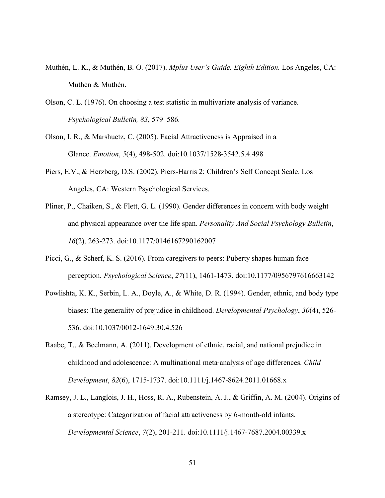- Muthén, L. K., & Muthén, B. O. (2017). *Mplus User's Guide. Eighth Edition.* Los Angeles, CA: Muthén & Muthén.
- Olson, C. L. (1976). On choosing a test statistic in multivariate analysis of variance. *Psychological Bulletin, 83*, 579–586.
- Olson, I. R., & Marshuetz, C. (2005). Facial Attractiveness is Appraised in a Glance. *Emotion*, *5*(4), 498-502. doi:10.1037/1528-3542.5.4.498
- Piers, E.V., & Herzberg, D.S. (2002). Piers-Harris 2; Children's Self Concept Scale. Los Angeles, CA: Western Psychological Services.
- Pliner, P., Chaiken, S., & Flett, G. L. (1990). Gender differences in concern with body weight and physical appearance over the life span. *Personality And Social Psychology Bulletin*, *16*(2), 263-273. doi:10.1177/0146167290162007
- Picci, G., & Scherf, K. S. (2016). From caregivers to peers: Puberty shapes human face perception. *Psychological Science*, *27*(11), 1461-1473. doi:10.1177/0956797616663142
- Powlishta, K. K., Serbin, L. A., Doyle, A., & White, D. R. (1994). Gender, ethnic, and body type biases: The generality of prejudice in childhood. *Developmental Psychology*, *30*(4), 526- 536. doi:10.1037/0012-1649.30.4.526
- Raabe, T., & Beelmann, A. (2011). Development of ethnic, racial, and national prejudice in childhood and adolescence: A multinational meta-analysis of age differences. *Child Development*, *82*(6), 1715-1737. doi:10.1111/j.1467-8624.2011.01668.x
- Ramsey, J. L., Langlois, J. H., Hoss, R. A., Rubenstein, A. J., & Griffin, A. M. (2004). Origins of a stereotype: Categorization of facial attractiveness by 6-month-old infants. *Developmental Science*, *7*(2), 201-211. doi:10.1111/j.1467-7687.2004.00339.x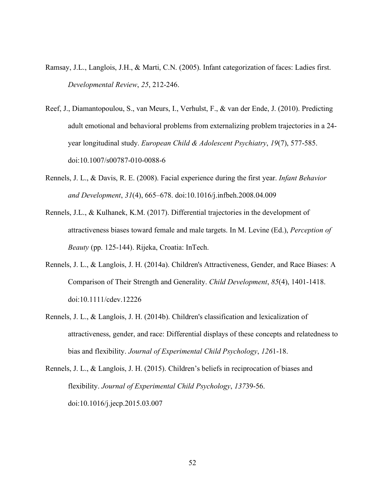- Ramsay, J.L., Langlois, J.H., & Marti, C.N. (2005). Infant categorization of faces: Ladies first. *Developmental Review*, *25*, 212-246.
- Reef, J., Diamantopoulou, S., van Meurs, I., Verhulst, F., & van der Ende, J. (2010). Predicting adult emotional and behavioral problems from externalizing problem trajectories in a 24 year longitudinal study. *European Child & Adolescent Psychiatry*, *19*(7), 577-585. doi:10.1007/s00787-010-0088-6
- Rennels, J. L., & Davis, R. E. (2008). Facial experience during the first year. *Infant Behavior and Development*, *31*(4), 665–678. doi:10.1016/j.infbeh.2008.04.009
- Rennels, J.L., & Kulhanek, K.M. (2017). Differential trajectories in the development of attractiveness biases toward female and male targets. In M. Levine (Ed.), *Perception of Beauty* (pp. 125-144). Rijeka, Croatia: InTech.
- Rennels, J. L., & Langlois, J. H. (2014a). Children's Attractiveness, Gender, and Race Biases: A Comparison of Their Strength and Generality. *Child Development*, *85*(4), 1401-1418. doi:10.1111/cdev.12226
- Rennels, J. L., & Langlois, J. H. (2014b). Children's classification and lexicalization of attractiveness, gender, and race: Differential displays of these concepts and relatedness to bias and flexibility. *Journal of Experimental Child Psychology*, *126*1-18.

Rennels, J. L., & Langlois, J. H. (2015). Children's beliefs in reciprocation of biases and flexibility. *Journal of Experimental Child Psychology*, *137*39-56. doi:10.1016/j.jecp.2015.03.007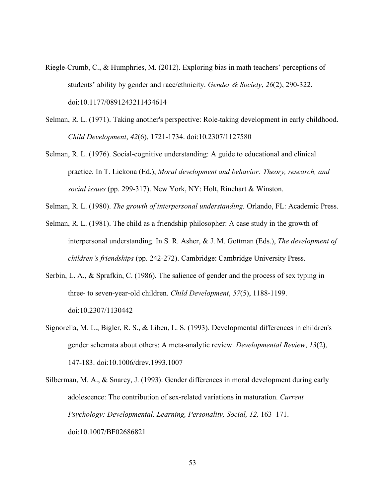- Riegle-Crumb, C., & Humphries, M. (2012). Exploring bias in math teachers' perceptions of students' ability by gender and race/ethnicity. *Gender & Society*, *26*(2), 290-322. doi:10.1177/0891243211434614
- Selman, R. L. (1971). Taking another's perspective: Role-taking development in early childhood. *Child Development*, *42*(6), 1721-1734. doi:10.2307/1127580
- Selman, R. L. (1976). Social-cognitive understanding: A guide to educational and clinical practice. In T. Lickona (Ed.), *Moral development and behavior: Theory, research, and social issues* (pp. 299-317). New York, NY: Holt, Rinehart & Winston.
- Selman, R. L. (1980). *The growth of interpersonal understanding.* Orlando, FL: Academic Press.
- Selman, R. L. (1981). The child as a friendship philosopher: A case study in the growth of interpersonal understanding. In S. R. Asher, & J. M. Gottman (Eds.), *The development of children's friendships* (pp. 242-272). Cambridge: Cambridge University Press.
- Serbin, L. A., & Sprafkin, C. (1986). The salience of gender and the process of sex typing in three- to seven-year-old children. *Child Development*, *57*(5), 1188-1199. doi:10.2307/1130442
- Signorella, M. L., Bigler, R. S., & Liben, L. S. (1993). Developmental differences in children's gender schemata about others: A meta-analytic review. *Developmental Review*, *13*(2), 147-183. doi:10.1006/drev.1993.1007
- Silberman, M. A., & Snarey, J. (1993). Gender differences in moral development during early adolescence: The contribution of sex-related variations in maturation. *Current Psychology: Developmental, Learning, Personality, Social, 12, 163–171.* doi:10.1007/BF02686821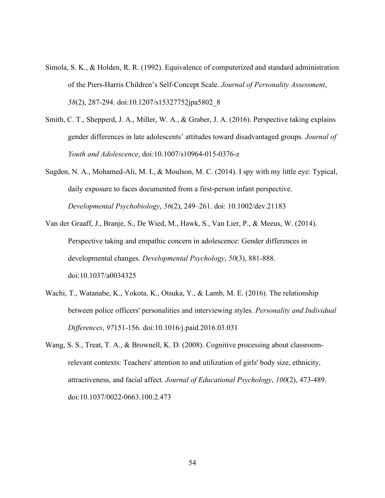- Simola, S. K., & Holden, R. R. (1992). Equivalence of computerized and standard administration of the Piers-Harris Children's Self-Concept Scale. *Journal of Personality Assessment*, *58*(2), 287-294. doi:10.1207/s15327752jpa5802\_8
- Smith, C. T., Shepperd, J. A., Miller, W. A., & Graber, J. A. (2016). Perspective taking explains gender differences in late adolescents' attitudes toward disadvantaged groups. *Journal of Youth and Adolescence*, doi:10.1007/s10964-015-0376-z
- Sugden, N. A., Mohamed-Ali, M. I., & Moulson, M. C. (2014). I spy with my little eye: Typical, daily exposure to faces documented from a first-person infant perspective. *Developmental Psychobiology*, *56*(2), 249–261. doi: 10.1002/dev.21183
- Van der Graaff, J., Branje, S., De Wied, M., Hawk, S., Van Lier, P., & Meeus, W. (2014). Perspective taking and empathic concern in adolescence: Gender differences in developmental changes. *Developmental Psychology*, *50*(3), 881-888. doi:10.1037/a0034325
- Wachi, T., Watanabe, K., Yokota, K., Otsuka, Y., & Lamb, M. E. (2016). The relationship between police officers' personalities and interviewing styles. *Personality and Individual Differences*, *97*151-156. doi:10.1016/j.paid.2016.03.031
- Wang, S. S., Treat, T. A., & Brownell, K. D. (2008). Cognitive processing about classroomrelevant contexts: Teachers' attention to and utilization of girls' body size, ethnicity, attractiveness, and facial affect. *Journal of Educational Psychology*, *100*(2), 473-489. doi:10.1037/0022-0663.100.2.473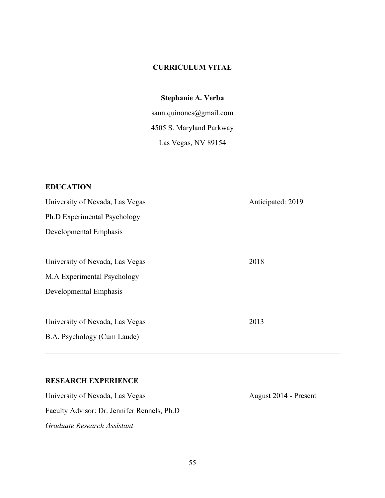## **CURRICULUM VITAE**

# **Stephanie A. Verba**

sann.quinones@gmail.com 4505 S. Maryland Parkway Las Vegas, NV 89154

# **EDUCATION**

| University of Nevada, Las Vegas | Anticipated: 2019 |
|---------------------------------|-------------------|
| Ph.D Experimental Psychology    |                   |
| Developmental Emphasis          |                   |
|                                 |                   |
| University of Nevada, Las Vegas | 2018              |
| M.A Experimental Psychology     |                   |
| Developmental Emphasis          |                   |
|                                 |                   |
| University of Nevada, Las Vegas | 2013              |
| B.A. Psychology (Cum Laude)     |                   |
|                                 |                   |

#### **RESEARCH EXPERIENCE**

University of Nevada, Las Vegas August 2014 - Present Faculty Advisor: Dr. Jennifer Rennels, Ph.D *Graduate Research Assistant*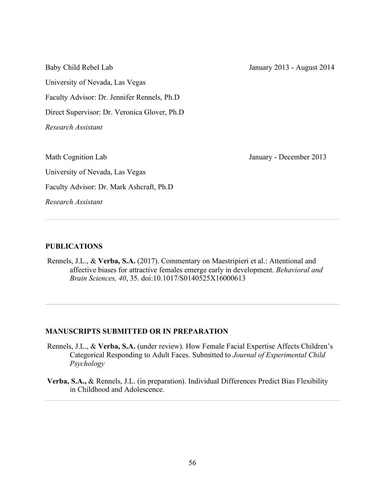Baby Child Rebel Lab January 2013 - August 2014 University of Nevada, Las Vegas Faculty Advisor: Dr. Jennifer Rennels, Ph.D Direct Supervisor: Dr. Veronica Glover, Ph.D *Research Assistant* Math Cognition Lab January - December 2013 University of Nevada, Las Vegas Faculty Advisor: Dr. Mark Ashcraft, Ph.D *Research Assistant*

#### **PUBLICATIONS**

Rennels, J.L., & **Verba, S.A.** (2017). Commentary on Maestripieri et al.: Attentional and affective biases for attractive females emerge early in development. *Behavioral and Brain Sciences, 40*, 35. doi:10.1017/S0140525X16000613

#### **MANUSCRIPTS SUBMITTED OR IN PREPARATION**

- Rennels, J.L., & **Verba, S.A.** (under review). How Female Facial Expertise Affects Children's Categorical Responding to Adult Faces. Submitted to *Journal of Experimental Child Psychology*
- **Verba, S.A.,** & Rennels, J.L. (in preparation). Individual Differences Predict Bias Flexibility in Childhood and Adolescence.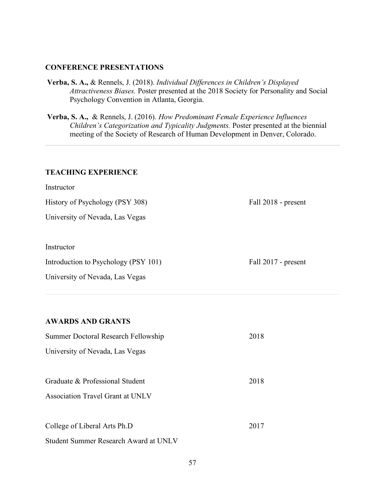#### **CONFERENCE PRESENTATIONS**

- **Verba, S. A.,** & Rennels, J. (2018). *Individual Differences in Children's Displayed Attractiveness Biases.* Poster presented at the 2018 Society for Personality and Social Psychology Convention in Atlanta, Georgia.
- **Verba, S. A.,** & Rennels, J. (2016). *How Predominant Female Experience Influences Children's Categorization and Typicality Judgments.* Poster presented at the biennial meeting of the Society of Research of Human Development in Denver, Colorado.

#### **TEACHING EXPERIENCE**

| Instructor                           |                     |
|--------------------------------------|---------------------|
| History of Psychology (PSY 308)      | Fall 2018 - present |
| University of Nevada, Las Vegas      |                     |
|                                      |                     |
| Instructor                           |                     |
| Introduction to Psychology (PSY 101) | Fall 2017 - present |
| University of Nevada, Las Vegas      |                     |
|                                      |                     |

#### **AWARDS AND GRANTS**

| Summer Doctoral Research Fellowship     | 2018 |
|-----------------------------------------|------|
| University of Nevada, Las Vegas         |      |
|                                         |      |
| Graduate & Professional Student         | 2018 |
| <b>Association Travel Grant at UNLV</b> |      |
|                                         |      |
| College of Liberal Arts Ph.D            | 2017 |
| Student Summer Research Award at UNLV   |      |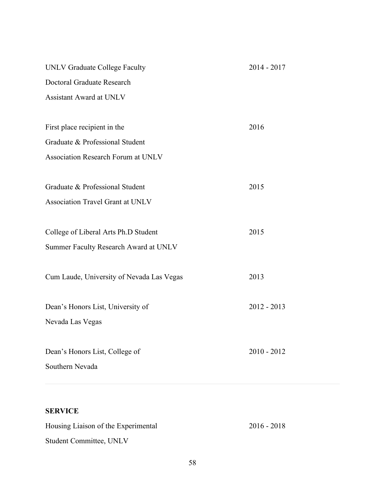| <b>UNLV Graduate College Faculty</b>      | 2014 - 2017   |
|-------------------------------------------|---------------|
| Doctoral Graduate Research                |               |
| <b>Assistant Award at UNLV</b>            |               |
|                                           |               |
| First place recipient in the              | 2016          |
| Graduate & Professional Student           |               |
| <b>Association Research Forum at UNLV</b> |               |
|                                           |               |
| Graduate & Professional Student           | 2015          |
| Association Travel Grant at UNLV          |               |
|                                           |               |
| College of Liberal Arts Ph.D Student      | 2015          |
| Summer Faculty Research Award at UNLV     |               |
|                                           |               |
| Cum Laude, University of Nevada Las Vegas | 2013          |
|                                           |               |
| Dean's Honors List, University of         | $2012 - 2013$ |
| Nevada Las Vegas                          |               |
|                                           |               |
| Dean's Honors List, College of            | $2010 - 2012$ |
| Southern Nevada                           |               |
|                                           |               |

# **SERVICE**

| Housing Liaison of the Experimental | $2016 - 2018$ |
|-------------------------------------|---------------|
| <b>Student Committee, UNLV</b>      |               |